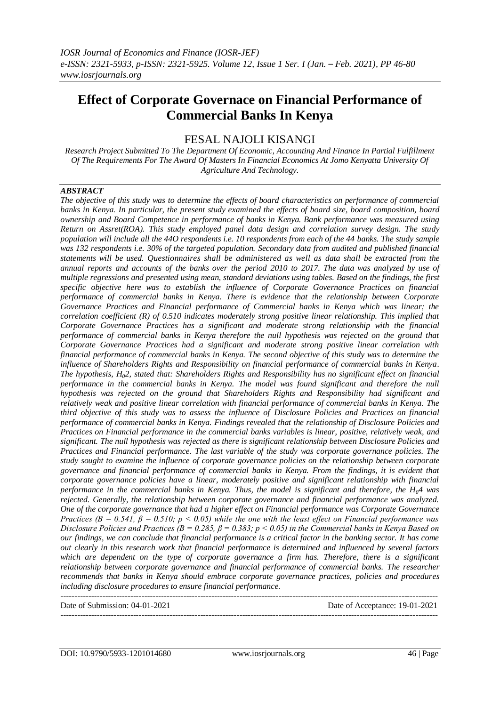# **Effect of Corporate Governace on Financial Performance of Commercial Banks In Kenya**

## FESAL NAJOLI KISANGI

*Research Project Submitted To The Department Of Economic, Accounting And Finance In Partial Fulfillment Of The Requirements For The Award Of Masters In Financial Economics At Jomo Kenyatta University Of Agriculture And Technology.*

#### *ABSTRACT*

*The objective of this study was to determine the effects of board characteristics on performance of commercial banks in Kenya. In particular, the present study examined the effects of board size, board composition, board ownership and Board Competence in performance of banks in Kenya. Bank performance was measured using Return on Assret(ROA). This study employed panel data design and correlation survey design. The study population will include all the 44O respondents i.e. 10 respondents from each of the 44 banks. The study sample was 132 respondents i.e. 30% of the targeted population. Secondary data from audited and published financial statements will be used. Questionnaires shall be administered as well as data shall be extracted from the annual reports and accounts of the banks over the period 2010 to 2017. The data was analyzed by use of multiple regressions and presented using mean, standard deviations using tables. Based on the findings, the first specific objective here was to establish the influence of Corporate Governance Practices on financial performance of commercial banks in Kenya. There is evidence that the relationship between Corporate Governance Practices and Financial performance of Commercial banks in Kenya which was linear; the correlation coefficient (R) of 0.510 indicates moderately strong positive linear relationship. This implied that Corporate Governance Practices has a significant and moderate strong relationship with the financial performance of commercial banks in Kenya therefore the null hypothesis was rejected on the ground that Corporate Governance Practices had a significant and moderate strong positive linear correlation with financial performance of commercial banks in Kenya. The second objective of this study was to determine the influence of Shareholders Rights and Responsibility on financial performance of commercial banks in Kenya. The hypothesis, H02, stated that: Shareholders Rights and Responsibility has no significant effect on financial performance in the commercial banks in Kenya. The model was found significant and therefore the null hypothesis was rejected on the ground that Shareholders Rights and Responsibility had significant and relatively weak and positive linear correlation with financial performance of commercial banks in Kenya. The third objective of this study was to assess the influence of Disclosure Policies and Practices on financial performance of commercial banks in Kenya. Findings revealed that the relationship of Disclosure Policies and Practices on Financial performance in the commercial banks variables is linear, positive, relatively weak, and significant. The null hypothesis was rejected as there is significant relationship between Disclosure Policies and Practices and Financial performance. The last variable of the study was corporate governance policies. The study sought to examine the influence of corporate governance policies on the relationship between corporate governance and financial performance of commercial banks in Kenya. From the findings, it is evident that corporate governance policies have a linear, moderately positive and significant relationship with financial performance in the commercial banks in Kenya. Thus, the model is significant and therefore, the H04 was rejected. Generally, the relationship between corporate governance and financial performance was analyzed. One of the corporate governance that had a higher effect on Financial performance was Corporate Governance Practices (B = 0.541, β = 0.510; p < 0.05) while the one with the least effect on Financial performance was Disclosure Policies and Practices (B = 0.285, β = 0.383; p < 0.05) in the Commercial banks in Kenya Based on our findings, we can conclude that financial performance is a critical factor in the banking sector. It has come out clearly in this research work that financial performance is determined and influenced by several factors which are dependent on the type of corporate governance a firm has. Therefore, there is a significant relationship between corporate governance and financial performance of commercial banks. The researcher recommends that banks in Kenya should embrace corporate governance practices, policies and procedures including disclosure procedures to ensure financial performance.*

Date of Submission: 04-01-2021 Date of Acceptance: 19-01-2021

---------------------------------------------------------------------------------------------------------------------------------------

---------------------------------------------------------------------------------------------------------------------------------------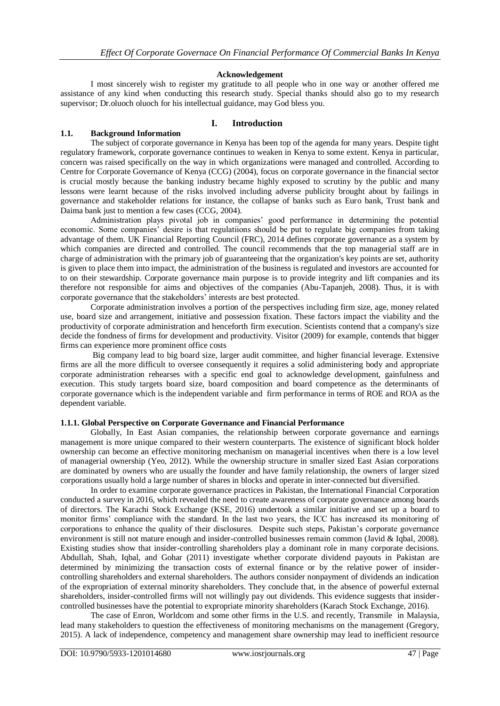#### **Acknowledgement**

I most sincerely wish to register my gratitude to all people who in one way or another offered me assistance of any kind when conducting this research study. Special thanks should also go to my research supervisor; Dr.oluoch oluoch for his intellectual guidance, may God bless you.

## **I. Introduction**

## **1.1. Background Information**

The subject of corporate governance in Kenya has been top of the agenda for many years. Despite tight regulatory framework, corporate governance continues to weaken in Kenya to some extent. Kenya in particular, concern was raised specifically on the way in which organizations were managed and controlled. According to Centre for Corporate Governance of Kenya (CCG) (2004), focus on corporate governance in the financial sector is crucial mostly because the banking industry became highly exposed to scrutiny by the public and many lessons were learnt because of the risks involved including adverse publicity brought about by failings in governance and stakeholder relations for instance, the collapse of banks such as Euro bank, Trust bank and Daima bank just to mention a few cases (CCG, 2004).

Administration plays pivotal job in companies' good performance in determining the potential economic. Some companies' desire is that regulatiions should be put to regulate big companies from taking advantage of them. UK Financial Reporting Council (FRC), 2014 defines corporate governance as a system by which companies are directed and controlled. The council recommends that the top managerial staff are in charge of administration with the primary job of guaranteeing that the organization's key points are set, authority is given to place them into impact, the administration of the business is regulated and investors are accounted for to on their stewardship. Corporate governance main purpose is to provide integrity and lift companies and its therefore not responsible for aims and objectives of the companies (Abu-Tapanjeh, 2008). Thus, it is with corporate governance that the stakeholders' interests are best protected.

Corporate administration involves a portion of the perspectives including firm size, age, money related use, board size and arrangement, initiative and possession fixation. These factors impact the viability and the productivity of corporate administration and henceforth firm execution. Scientists contend that a company's size decide the fondness of firms for development and productivity. Visitor (2009) for example, contends that bigger firms can experience more prominent office costs

Big company lead to big board size, larger audit committee, and higher financial leverage. Extensive firms are all the more difficult to oversee consequently it requires a solid administering body and appropriate corporate administration rehearses with a specific end goal to acknowledge development, gainfulness and execution. This study targets board size, board composition and board competence as the determinants of corporate governance which is the independent variable and firm performance in terms of ROE and ROA as the dependent variable.

#### **1.1.1. Global Perspective on Corporate Governance and Financial Performance**

Globally, In East Asian companies, the relationship between corporate governance and earnings management is more unique compared to their western counterparts. The existence of significant block holder ownership can become an effective monitoring mechanism on managerial incentives when there is a low level of managerial ownership (Yeo, 2012). While the ownership structure in smaller sized East Asian corporations are dominated by owners who are usually the founder and have family relationship, the owners of larger sized corporations usually hold a large number of shares in blocks and operate in inter-connected but diversified.

In order to examine corporate governance practices in Pakistan, the International Financial Corporation conducted a survey in 2016, which revealed the need to create awareness of corporate governance among boards of directors. The Karachi Stock Exchange (KSE, 2016) undertook a similar initiative and set up a board to monitor firms' compliance with the standard. In the last two years, the ICC has increased its monitoring of corporations to enhance the quality of their disclosures. Despite such steps, Pakistan's corporate governance environment is still not mature enough and insider-controlled businesses remain common (Javid & Iqbal, 2008). Existing studies show that insider-controlling shareholders play a dominant role in many corporate decisions. Abdullah, Shah, Iqbal, and Gohar (2011) investigate whether corporate dividend payouts in Pakistan are determined by minimizing the transaction costs of external finance or by the relative power of insidercontrolling shareholders and external shareholders. The authors consider nonpayment of dividends an indication of the expropriation of external minority shareholders. They conclude that, in the absence of powerful external shareholders, insider-controlled firms will not willingly pay out dividends. This evidence suggests that insidercontrolled businesses have the potential to expropriate minority shareholders (Karach Stock Exchange, 2016).

The case of Enron, Worldcom and some other firms in the U.S. and recently, Transmile in Malaysia, lead many stakeholders to question the effectiveness of monitoring mechanisms on the management (Gregory, 2015). A lack of independence, competency and management share ownership may lead to inefficient resource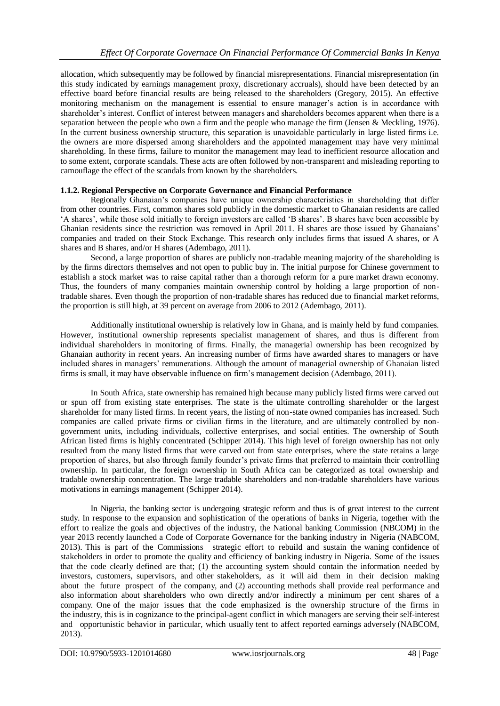allocation, which subsequently may be followed by financial misrepresentations. Financial misrepresentation (in this study indicated by earnings management proxy, discretionary accruals), should have been detected by an effective board before financial results are being released to the shareholders (Gregory, 2015). An effective monitoring mechanism on the management is essential to ensure manager's action is in accordance with shareholder's interest. Conflict of interest between managers and shareholders becomes apparent when there is a separation between the people who own a firm and the people who manage the firm (Jensen & Meckling, 1976). In the current business ownership structure, this separation is unavoidable particularly in large listed firms i.e. the owners are more dispersed among shareholders and the appointed management may have very minimal shareholding. In these firms, failure to monitor the management may lead to inefficient resource allocation and to some extent, corporate scandals. These acts are often followed by non-transparent and misleading reporting to camouflage the effect of the scandals from known by the shareholders.

## **1.1.2. Regional Perspective on Corporate Governance and Financial Performance**

Regionally Ghanaian's companies have unique ownership characteristics in shareholding that differ from other countries. First, common shares sold publicly in the domestic market to Ghanaian residents are called 'A shares', while those sold initially to foreign investors are called 'B shares'. B shares have been accessible by Ghanian residents since the restriction was removed in April 2011. H shares are those issued by Ghanaians' companies and traded on their Stock Exchange. This research only includes firms that issued A shares, or A shares and B shares, and/or H shares (Adembago, 2011).

Second, a large proportion of shares are publicly non-tradable meaning majority of the shareholding is by the firms directors themselves and not open to public buy in. The initial purpose for Chinese government to establish a stock market was to raise capital rather than a thorough reform for a pure market drawn economy. Thus, the founders of many companies maintain ownership control by holding a large proportion of nontradable shares. Even though the proportion of non-tradable shares has reduced due to financial market reforms, the proportion is still high, at 39 percent on average from 2006 to 2012 (Adembago, 2011).

Additionally institutional ownership is relatively low in Ghana, and is mainly held by fund companies. However, institutional ownership represents specialist management of shares, and thus is different from individual shareholders in monitoring of firms. Finally, the managerial ownership has been recognized by Ghanaian authority in recent years. An increasing number of firms have awarded shares to managers or have included shares in managers' remunerations. Although the amount of managerial ownership of Ghanaian listed firms is small, it may have observable influence on firm's management decision (Adembago, 2011).

In South Africa, state ownership has remained high because many publicly listed firms were carved out or spun off from existing state enterprises. The state is the ultimate controlling shareholder or the largest shareholder for many listed firms. In recent years, the listing of non-state owned companies has increased. Such companies are called private firms or civilian firms in the literature, and are ultimately controlled by nongovernment units, including individuals, collective enterprises, and social entities. The ownership of South African listed firms is highly concentrated (Schipper 2014). This high level of foreign ownership has not only resulted from the many listed firms that were carved out from state enterprises, where the state retains a large proportion of shares, but also through family founder's private firms that preferred to maintain their controlling ownership. In particular, the foreign ownership in South Africa can be categorized as total ownership and tradable ownership concentration. The large tradable shareholders and non-tradable shareholders have various motivations in earnings management (Schipper 2014).

In Nigeria, the banking sector is undergoing strategic reform and thus is of great interest to the current study. In response to the expansion and sophistication of the operations of banks in Nigeria, together with the effort to realize the goals and objectives of the industry, the National banking Commission (NBCOM) in the year 2013 recently launched a Code of Corporate Governance for the banking industry in Nigeria (NABCOM, 2013). This is part of the Commissions strategic effort to rebuild and sustain the waning confidence of stakeholders in order to promote the quality and efficiency of banking industry in Nigeria. Some of the issues that the code clearly defined are that; (1) the accounting system should contain the information needed by investors, customers, supervisors, and other stakeholders, as it will aid them in their decision making about the future prospect of the company, and (2) accounting methods shall provide real performance and also information about shareholders who own directly and/or indirectly a minimum per cent shares of a company. One of the major issues that the code emphasized is the ownership structure of the firms in the industry, this is in cognizance to the principal-agent conflict in which managers are serving their self-interest and opportunistic behavior in particular, which usually tent to affect reported earnings adversely (NABCOM, 2013).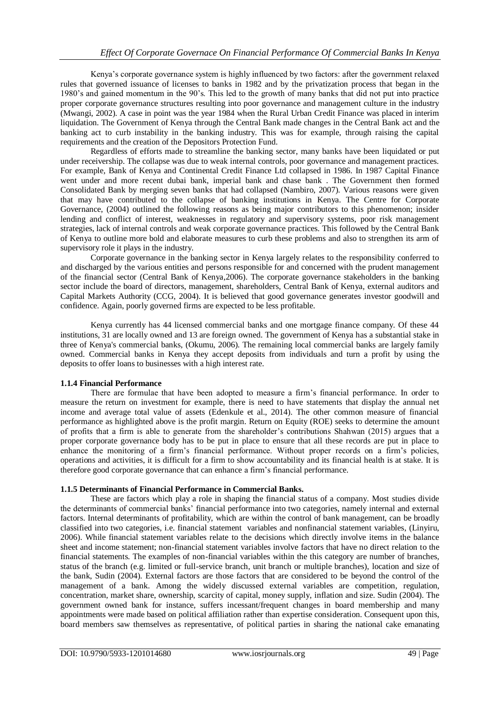Kenya's corporate governance system is highly influenced by two factors: after the government relaxed rules that governed issuance of licenses to banks in 1982 and by the privatization process that began in the 1980's and gained momentum in the 90's. This led to the growth of many banks that did not put into practice proper corporate governance structures resulting into poor governance and management culture in the industry (Mwangi, 2002). A case in point was the year 1984 when the Rural Urban Credit Finance was placed in interim liquidation. The Government of Kenya through the Central Bank made changes in the Central Bank act and the banking act to curb instability in the banking industry. This was for example, through raising the capital requirements and the creation of the Depositors Protection Fund.

Regardless of efforts made to streamline the banking sector, many banks have been liquidated or put under receivership. The collapse was due to weak internal controls, poor governance and management practices. For example, Bank of Kenya and Continental Credit Finance Ltd collapsed in 1986. In 1987 Capital Finance went under and more recent dubai bank, imperial bank and chase bank . The Government then formed Consolidated Bank by merging seven banks that had collapsed (Nambiro, 2007). Various reasons were given that may have contributed to the collapse of banking institutions in Kenya. The Centre for Corporate Governance, (2004) outlined the following reasons as being major contributors to this phenomenon; insider lending and conflict of interest, weaknesses in regulatory and supervisory systems, poor risk management strategies, lack of internal controls and weak corporate governance practices. This followed by the Central Bank of Kenya to outline more bold and elaborate measures to curb these problems and also to strengthen its arm of supervisory role it plays in the industry.

Corporate governance in the banking sector in Kenya largely relates to the responsibility conferred to and discharged by the various entities and persons responsible for and concerned with the prudent management of the financial sector (Central Bank of Kenya,2006). The corporate governance stakeholders in the banking sector include the board of directors, management, shareholders, Central Bank of Kenya, external auditors and Capital Markets Authority (CCG, 2004). It is believed that good governance generates investor goodwill and confidence. Again, poorly governed firms are expected to be less profitable.

Kenya currently has 44 licensed commercial banks and one mortgage finance company. Of these 44 institutions, 31 are locally owned and 13 are foreign owned. The government of Kenya has a substantial stake in three of Kenya's commercial banks, (Okumu, 2006). The remaining local commercial banks are largely family owned. Commercial banks in Kenya they accept deposits from individuals and turn a profit by using the deposits to offer loans to businesses with a high interest rate.

## **1.1.4 Financial Performance**

There are formulae that have been adopted to measure a firm's financial performance. In order to measure the return on investment for example, there is need to have statements that display the annual net income and average total value of assets (Edenkule et al., 2014). The other common measure of financial performance as highlighted above is the profit margin. Return on Equity (ROE) seeks to determine the amount of profits that a firm is able to generate from the shareholder's contributions Shahwan (2015) argues that a proper corporate governance body has to be put in place to ensure that all these records are put in place to enhance the monitoring of a firm's financial performance. Without proper records on a firm's policies, operations and activities, it is difficult for a firm to show accountability and its financial health is at stake. It is therefore good corporate governance that can enhance a firm's financial performance.

## **1.1.5 Determinants of Financial Performance in Commercial Banks.**

These are factors which play a role in shaping the financial status of a company. Most studies divide the determinants of commercial banks' financial performance into two categories, namely internal and external factors. Internal determinants of profitability, which are within the control of bank management, can be broadly classified into two categories, i.e. financial statement variables and nonfinancial statement variables, (Linyiru, 2006). While financial statement variables relate to the decisions which directly involve items in the balance sheet and income statement; non-financial statement variables involve factors that have no direct relation to the financial statements. The examples of non-financial variables within the this category are number of branches, status of the branch (e.g. limited or full-service branch, unit branch or multiple branches), location and size of the bank, Sudin (2004). External factors are those factors that are considered to be beyond the control of the management of a bank. Among the widely discussed external variables are competition, regulation, concentration, market share, ownership, scarcity of capital, money supply, inflation and size. Sudin (2004). The government owned bank for instance, suffers incessant/frequent changes in board membership and many appointments were made based on political affiliation rather than expertise consideration. Consequent upon this, board members saw themselves as representative, of political parties in sharing the national cake emanating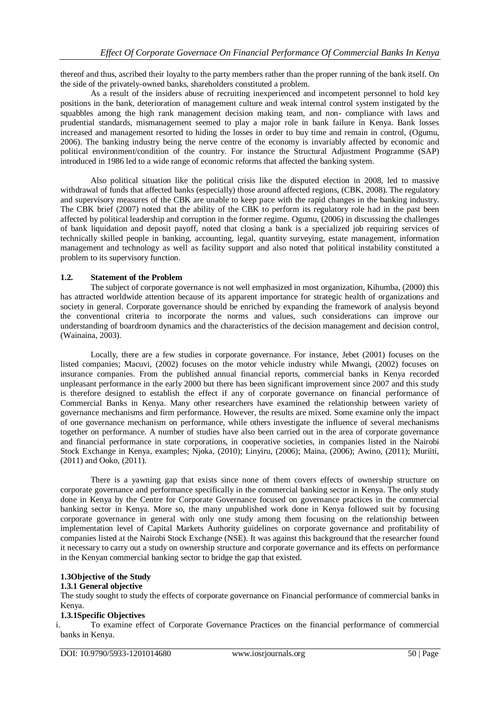thereof and thus, ascribed their loyalty to the party members rather than the proper running of the bank itself. On the side of the privately-owned banks, shareholders constituted a problem.

As a result of the insiders abuse of recruiting inexperienced and incompetent personnel to hold key positions in the bank, deterioration of management culture and weak internal control system instigated by the squabbles among the high rank management decision making team, and non- compliance with laws and prudential standards, mismanagement seemed to play a major role in bank failure in Kenya. Bank losses increased and management resorted to hiding the losses in order to buy time and remain in control, (Ogumu, 2006). The banking industry being the nerve centre of the economy is invariably affected by economic and political environment/condition of the country. For instance the Structural Adjustment Programme (SAP) introduced in 1986 led to a wide range of economic reforms that affected the banking system.

Also political situation like the political crisis like the disputed election in 2008, led to massive withdrawal of funds that affected banks (especially) those around affected regions, (CBK, 2008). The regulatory and supervisory measures of the CBK are unable to keep pace with the rapid changes in the banking industry. The CBK brief (2007) noted that the ability of the CBK to perform its regulatory role had in the past been affected by political leadership and corruption in the former regime. Ogumu, (2006) in discussing the challenges of bank liquidation and deposit payoff, noted that closing a bank is a specialized job requiring services of technically skilled people in banking, accounting, legal, quantity surveying, estate management, information management and technology as well as facility support and also noted that political instability constituted a problem to its supervisory function.

## **1.2. Statement of the Problem**

The subject of corporate governance is not well emphasized in most organization, Kihumba, (2000) this has attracted worldwide attention because of its apparent importance for strategic health of organizations and society in general. Corporate governance should be enriched by expanding the framework of analysis beyond the conventional criteria to incorporate the norms and values, such considerations can improve our understanding of boardroom dynamics and the characteristics of the decision management and decision control, (Wainaina, 2003).

Locally, there are a few studies in corporate governance. For instance, Jebet (2001) focuses on the listed companies; Macuvi, (2002) focuses on the motor vehicle industry while Mwangi, (2002) focuses on insurance companies. From the published annual financial reports, commercial banks in Kenya recorded unpleasant performance in the early 2000 but there has been significant improvement since 2007 and this study is therefore designed to establish the effect if any of corporate governance on financial performance of Commercial Banks in Kenya. Many other researchers have examined the relationship between variety of governance mechanisms and firm performance. However, the results are mixed. Some examine only the impact of one governance mechanism on performance, while others investigate the influence of several mechanisms together on performance. A number of studies have also been carried out in the area of corporate governance and financial performance in state corporations, in cooperative societies, in companies listed in the Nairobi Stock Exchange in Kenya, examples; Njoka, (2010); Linyiru, (2006); Maina, (2006); Awino, (2011); Muriiti, (2011) and Ooko, (2011).

There is a yawning gap that exists since none of them covers effects of ownership structure on corporate governance and performance specifically in the commercial banking sector in Kenya. The only study done in Kenya by the Centre for Corporate Governance focused on governance practices in the commercial banking sector in Kenya. More so, the many unpublished work done in Kenya followed suit by focusing corporate governance in general with only one study among them focusing on the relationship between implementation level of Capital Markets Authority guidelines on corporate governance and profitability of companies listed at the Nairobi Stock Exchange (NSE). It was against this background that the researcher found it necessary to carry out a study on ownership structure and corporate governance and its effects on performance in the Kenyan commercial banking sector to bridge the gap that existed.

## **1.3Objective of the Study**

## **1.3.1 General objective**

The study sought to study the effects of corporate governance on Financial performance of commercial banks in Kenya.

#### **1.3.1Specific Objectives**

i. To examine effect of Corporate Governance Practices on the financial performance of commercial banks in Kenya.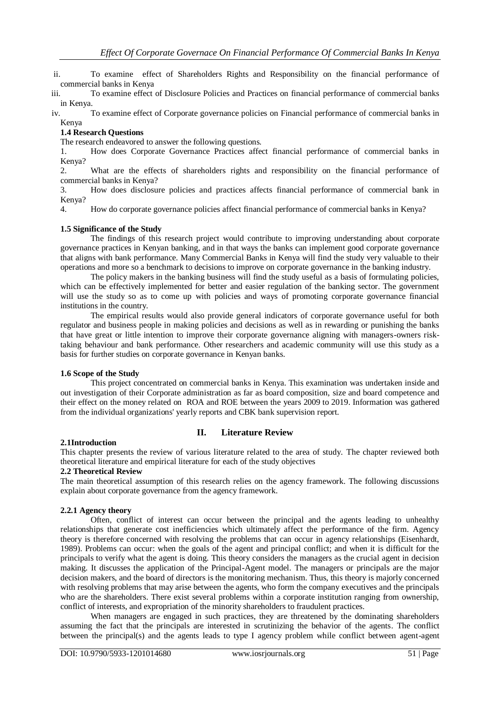ii. To examine effect of Shareholders Rights and Responsibility on the financial performance of commercial banks in Kenya

iii. To examine effect of Disclosure Policies and Practices on financial performance of commercial banks in Kenya.

iv. To examine effect of Corporate governance policies on Financial performance of commercial banks in Kenya

## **1.4 Research Questions**

The research endeavored to answer the following questions.

1. How does Corporate Governance Practices affect financial performance of commercial banks in Kenya?

2. What are the effects of shareholders rights and responsibility on the financial performance of commercial banks in Kenya?

3. How does disclosure policies and practices affects financial performance of commercial bank in Kenya?

4. How do corporate governance policies affect financial performance of commercial banks in Kenya?

## **1.5 Significance of the Study**

The findings of this research project would contribute to improving understanding about corporate governance practices in Kenyan banking, and in that ways the banks can implement good corporate governance that aligns with bank performance. Many Commercial Banks in Kenya will find the study very valuable to their operations and more so a benchmark to decisions to improve on corporate governance in the banking industry.

The policy makers in the banking business will find the study useful as a basis of formulating policies, which can be effectively implemented for better and easier regulation of the banking sector. The government will use the study so as to come up with policies and ways of promoting corporate governance financial institutions in the country.

The empirical results would also provide general indicators of corporate governance useful for both regulator and business people in making policies and decisions as well as in rewarding or punishing the banks that have great or little intention to improve their corporate governance aligning with managers-owners risktaking behaviour and bank performance. Other researchers and academic community will use this study as a basis for further studies on corporate governance in Kenyan banks.

#### **1.6 Scope of the Study**

This project concentrated on commercial banks in Kenya. This examination was undertaken inside and out investigation of their Corporate administration as far as board composition, size and board competence and their effect on the money related on ROA and ROE between the years 2009 to 2019. Information was gathered from the individual organizations' yearly reports and CBK bank supervision report.

## **II. Literature Review**

#### **2.1Introduction**

This chapter presents the review of various literature related to the area of study. The chapter reviewed both theoretical literature and empirical literature for each of the study objectives

## **2.2 Theoretical Review**

The main theoretical assumption of this research relies on the agency framework. The following discussions explain about corporate governance from the agency framework.

#### **2.2.1 Agency theory**

Often, conflict of interest can occur between the principal and the agents leading to unhealthy relationships that generate cost inefficiencies which ultimately affect the performance of the firm. Agency theory is therefore concerned with resolving the problems that can occur in agency relationships (Eisenhardt, 1989). Problems can occur: when the goals of the agent and principal conflict; and when it is difficult for the principals to verify what the agent is doing. This theory considers the managers as the crucial agent in decision making. It discusses the application of the Principal-Agent model. The managers or principals are the major decision makers, and the board of directors is the monitoring mechanism. Thus, this theory is majorly concerned with resolving problems that may arise between the agents, who form the company executives and the principals who are the shareholders. There exist several problems within a corporate institution ranging from ownership, conflict of interests, and expropriation of the minority shareholders to fraudulent practices.

When managers are engaged in such practices, they are threatened by the dominating shareholders assuming the fact that the principals are interested in scrutinizing the behavior of the agents. The conflict between the principal(s) and the agents leads to type I agency problem while conflict between agent-agent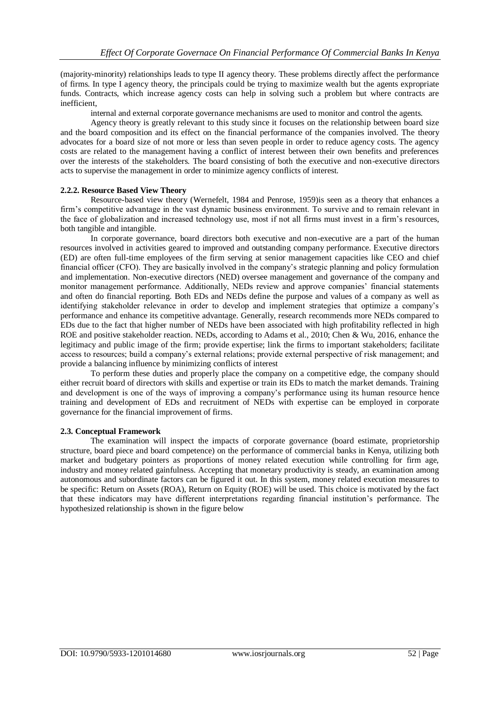(majority-minority) relationships leads to type II agency theory. These problems directly affect the performance of firms. In type I agency theory, the principals could be trying to maximize wealth but the agents expropriate funds. Contracts, which increase agency costs can help in solving such a problem but where contracts are inefficient,

internal and external corporate governance mechanisms are used to monitor and control the agents.

Agency theory is greatly relevant to this study since it focuses on the relationship between board size and the board composition and its effect on the financial performance of the companies involved. The theory advocates for a board size of not more or less than seven people in order to reduce agency costs. The agency costs are related to the management having a conflict of interest between their own benefits and preferences over the interests of the stakeholders. The board consisting of both the executive and non-executive directors acts to supervise the management in order to minimize agency conflicts of interest.

## **2.2.2. Resource Based View Theory**

Resource-based view theory (Wernefelt, 1984 and Penrose, 1959)is seen as a theory that enhances a firm's competitive advantage in the vast dynamic business environment. To survive and to remain relevant in the face of globalization and increased technology use, most if not all firms must invest in a firm's resources, both tangible and intangible.

In corporate governance, board directors both executive and non-executive are a part of the human resources involved in activities geared to improved and outstanding company performance. Executive directors (ED) are often full-time employees of the firm serving at senior management capacities like CEO and chief financial officer (CFO). They are basically involved in the company's strategic planning and policy formulation and implementation. Non-executive directors (NED) oversee management and governance of the company and monitor management performance. Additionally, NEDs review and approve companies' financial statements and often do financial reporting. Both EDs and NEDs define the purpose and values of a company as well as identifying stakeholder relevance in order to develop and implement strategies that optimize a company's performance and enhance its competitive advantage. Generally, research recommends more NEDs compared to EDs due to the fact that higher number of NEDs have been associated with high profitability reflected in high ROE and positive stakeholder reaction. NEDs, according to Adams et al., 2010; Chen & Wu, 2016, enhance the legitimacy and public image of the firm; provide expertise; link the firms to important stakeholders; facilitate access to resources; build a company's external relations; provide external perspective of risk management; and provide a balancing influence by minimizing conflicts of interest

To perform these duties and properly place the company on a competitive edge, the company should either recruit board of directors with skills and expertise or train its EDs to match the market demands. Training and development is one of the ways of improving a company's performance using its human resource hence training and development of EDs and recruitment of NEDs with expertise can be employed in corporate governance for the financial improvement of firms.

## **2.3. Conceptual Framework**

The examination will inspect the impacts of corporate governance (board estimate, proprietorship structure, board piece and board competence) on the performance of commercial banks in Kenya, utilizing both market and budgetary pointers as proportions of money related execution while controlling for firm age, industry and money related gainfulness. Accepting that monetary productivity is steady, an examination among autonomous and subordinate factors can be figured it out. In this system, money related execution measures to be specific: Return on Assets (ROA), Return on Equity (ROE) will be used. This choice is motivated by the fact that these indicators may have different interpretations regarding financial institution's performance. The hypothesized relationship is shown in the figure below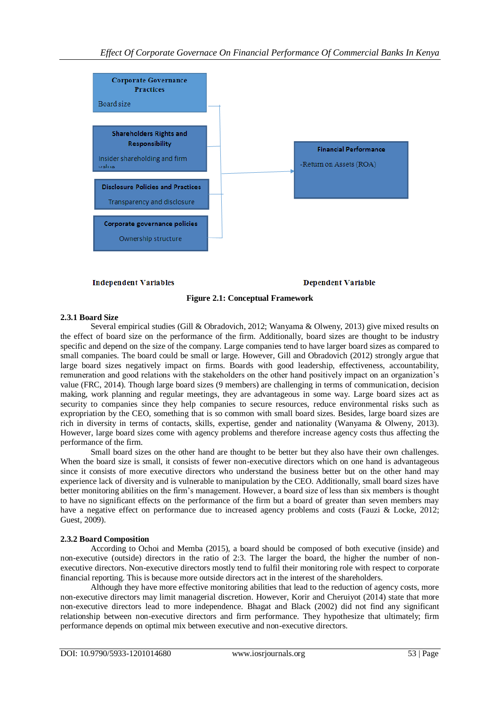

#### **Independent Variables**

**Dependent Variable** 

## **Figure 2.1: Conceptual Framework**

## **2.3.1 Board Size**

Several empirical studies (Gill & Obradovich, 2012; Wanyama & Olweny, 2013) give mixed results on the effect of board size on the performance of the firm. Additionally, board sizes are thought to be industry specific and depend on the size of the company. Large companies tend to have larger board sizes as compared to small companies. The board could be small or large. However, Gill and Obradovich (2012) strongly argue that large board sizes negatively impact on firms. Boards with good leadership, effectiveness, accountability, remuneration and good relations with the stakeholders on the other hand positively impact on an organization's value (FRC, 2014). Though large board sizes (9 members) are challenging in terms of communication, decision making, work planning and regular meetings, they are advantageous in some way. Large board sizes act as security to companies since they help companies to secure resources, reduce environmental risks such as expropriation by the CEO, something that is so common with small board sizes. Besides, large board sizes are rich in diversity in terms of contacts, skills, expertise, gender and nationality (Wanyama & Olweny, 2013). However, large board sizes come with agency problems and therefore increase agency costs thus affecting the performance of the firm.

Small board sizes on the other hand are thought to be better but they also have their own challenges. When the board size is small, it consists of fewer non-executive directors which on one hand is advantageous since it consists of more executive directors who understand the business better but on the other hand may experience lack of diversity and is vulnerable to manipulation by the CEO. Additionally, small board sizes have better monitoring abilities on the firm's management. However, a board size of less than six members is thought to have no significant effects on the performance of the firm but a board of greater than seven members may have a negative effect on performance due to increased agency problems and costs (Fauzi & Locke, 2012; Guest, 2009).

#### **2.3.2 Board Composition**

According to Ochoi and Memba (2015), a board should be composed of both executive (inside) and non-executive (outside) directors in the ratio of 2:3. The larger the board, the higher the number of nonexecutive directors. Non-executive directors mostly tend to fulfil their monitoring role with respect to corporate financial reporting. This is because more outside directors act in the interest of the shareholders.

Although they have more effective monitoring abilities that lead to the reduction of agency costs, more non-executive directors may limit managerial discretion. However, Korir and Cheruiyot (2014) state that more non-executive directors lead to more independence. Bhagat and Black (2002) did not find any significant relationship between non-executive directors and firm performance. They hypothesize that ultimately; firm performance depends on optimal mix between executive and non-executive directors.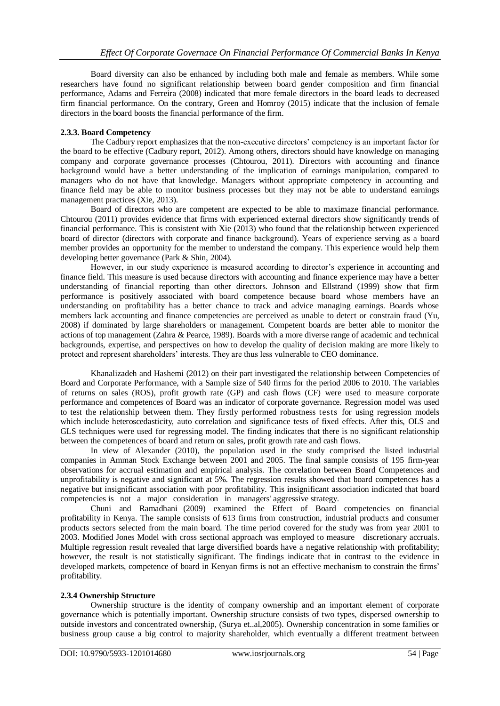Board diversity can also be enhanced by including both male and female as members. While some researchers have found no significant relationship between board gender composition and firm financial performance, Adams and Ferreira (2008) indicated that more female directors in the board leads to decreased firm financial performance. On the contrary, Green and Homroy (2015) indicate that the inclusion of female directors in the board boosts the financial performance of the firm.

## **2.3.3. Board Competency**

The Cadbury report emphasizes that the non-executive directors' competency is an important factor for the board to be effective (Cadbury report, 2012). Among others, directors should have knowledge on managing company and corporate governance processes (Chtourou, 2011). Directors with accounting and finance background would have a better understanding of the implication of earnings manipulation, compared to managers who do not have that knowledge. Managers without appropriate competency in accounting and finance field may be able to monitor business processes but they may not be able to understand earnings management practices (Xie, 2013).

Board of directors who are competent are expected to be able to maximaze financial performance. Chtourou (2011) provides evidence that firms with experienced external directors show significantly trends of financial performance. This is consistent with Xie (2013) who found that the relationship between experienced board of director (directors with corporate and finance background). Years of experience serving as a board member provides an opportunity for the member to understand the company. This experience would help them developing better governance (Park & Shin, 2004).

However, in our study experience is measured according to director's experience in accounting and finance field. This measure is used because directors with accounting and finance experience may have a better understanding of financial reporting than other directors. Johnson and Ellstrand (1999) show that firm performance is positively associated with board competence because board whose members have an understanding on profitability has a better chance to track and advice managing earnings. Boards whose members lack accounting and finance competencies are perceived as unable to detect or constrain fraud (Yu, 2008) if dominated by large shareholders or management. Competent boards are better able to monitor the actions of top management (Zahra & Pearce, 1989). Boards with a more diverse range of academic and technical backgrounds, expertise, and perspectives on how to develop the quality of decision making are more likely to protect and represent shareholders' interests. They are thus less vulnerable to CEO dominance.

Khanalizadeh and Hashemi (2012) on their part investigated the relationship between Competencies of Board and Corporate Performance, with a Sample size of 540 firms for the period 2006 to 2010. The variables of returns on sales (ROS), profit growth rate (GP) and cash flows (CF) were used to measure corporate performance and competences of Board was an indicator of corporate governance. Regression model was used to test the relationship between them. They firstly performed robustness tests for using regression models which include heteroscedasticity, auto correlation and significance tests of fixed effects. After this, OLS and GLS techniques were used for regressing model. The finding indicates that there is no significant relationship between the competences of board and return on sales, profit growth rate and cash flows.

In view of Alexander (2010), the population used in the study comprised the listed industrial companies in Amman Stock Exchange between 2001 and 2005. The final sample consists of 195 firm-year observations for accrual estimation and empirical analysis. The correlation between Board Competences and unprofitability is negative and significant at 5%. The regression results showed that board competences has a negative but insignificant association with poor profitability. This insignificant association indicated that board competencies is not a major consideration in managers' aggressive strategy.

Chuni and Ramadhani (2009) examined the Effect of Board competencies on financial profitability in Kenya. The sample consists of 613 firms from construction, industrial products and consumer products sectors selected from the main board. The time period covered for the study was from year 2001 to 2003. Modified Jones Model with cross sectional approach was employed to measure discretionary accruals. Multiple regression result revealed that large diversified boards have a negative relationship with profitability; however, the result is not statistically significant. The findings indicate that in contrast to the evidence in developed markets, competence of board in Kenyan firms is not an effective mechanism to constrain the firms' profitability.

## **2.3.4 Ownership Structure**

Ownership structure is the identity of company ownership and an important element of corporate governance which is potentially important. Ownership structure consists of two types, dispersed ownership to outside investors and concentrated ownership, (Surya et..al,2005). Ownership concentration in some families or business group cause a big control to majority shareholder, which eventually a different treatment between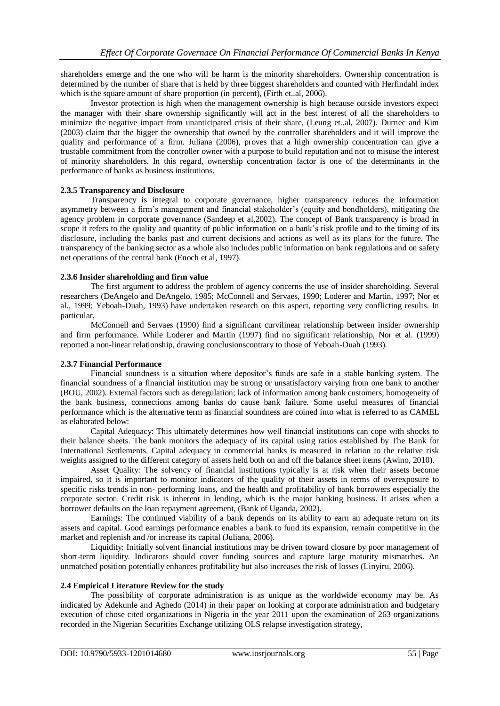shareholders emerge and the one who will be harm is the minority shareholders. Ownership concentration is determined by the number of share that is held by three biggest shareholders and counted with Herfindahl index which is the square amount of share proportion (in percent), (Firth et..al, 2006).

Investor protection is high when the management ownership is high because outside investors expect the manager with their share ownership significantly will act in the best interest of all the shareholders to minimize the negative impact from unanticipated crisis of their share, (Leung et..al, 2007). Durnec and Kim (2003) claim that the bigger the ownership that owned by the controller shareholders and it will improve the quality and performance of a firm. Juliana (2006), proves that a high ownership concentration can give a trustable commitment from the controller owner with a purpose to build reputation and not to misuse the interest of minority shareholders. In this regard, ownership concentration factor is one of the determinants in the performance of banks as business institutions.

## **2.3.5 Transparency and Disclosure**

Transparency is integral to corporate governance, higher transparency reduces the information asymmetry between a firm's management and financial stakeholder's (equity and bondholders), mitigating the agency problem in corporate governance (Sandeep et al,2002). The concept of Bank transparency is broad in scope it refers to the quality and quantity of public information on a bank's risk profile and to the timing of its disclosure, including the banks past and current decisions and actions as well as its plans for the future. The transparency of the banking sector as a whole also includes public information on bank regulations and on safety net operations of the central bank (Enoch et al, 1997).

## **2.3.6 Insider shareholding and firm value**

The first argument to address the problem of agency concerns the use of insider shareholding. Several researchers (DeAngelo and DeAngelo, 1985; McConnell and Servaes, 1990; Loderer and Martin, 1997; Nor et al., 1999; Yeboah-Duah, 1993) have undertaken research on this aspect, reporting very conflicting results. In particular,

McConnell and Servaes (1990) find a significant curvilinear relationship between insider ownership and firm performance. While Loderer and Martin (1997) find no significant relationship, Nor et al. (1999) reported a non-linear relationship, drawing conclusionscontrary to those of Yeboah-Duah (1993).

## **2.3.7 Financial Performance**

Financial soundness is a situation where depositor's funds are safe in a stable banking system. The financial soundness of a financial institution may be strong or unsatisfactory varying from one bank to another (BOU, 2002). External factors such as deregulation; lack of information among bank customers; homogeneity of the bank business, connections among banks do cause bank failure. Some useful measures of financial performance which is the alternative term as financial soundness are coined into what is referred to as CAMEL as elaborated below:

Capital Adequacy: This ultimately determines how well financial institutions can cope with shocks to their balance sheets. The bank monitors the adequacy of its capital using ratios established by The Bank for International Settlements. Capital adequacy in commercial banks is measured in relation to the relative risk weights assigned to the different category of assets held both on and off the balance sheet items (Awino, 2010).

Asset Quality: The solvency of financial institutions typically is at risk when their assets become impaired, so it is important to monitor indicators of the quality of their assets in terms of overexposure to specific risks trends in non- performing loans, and the health and profitability of bank borrowers especially the corporate sector. Credit risk is inherent in lending, which is the major banking business. It arises when a borrower defaults on the loan repayment agreement, (Bank of Uganda, 2002).

Earnings: The continued viability of a bank depends on its ability to earn an adequate return on its assets and capital. Good earnings performance enables a bank to fund its expansion, remain competitive in the market and replenish and /or increase its capital (Juliana, 2006).

Liquidity: Initially solvent financial institutions may be driven toward closure by poor management of short-term liquidity. Indicators should cover funding sources and capture large maturity mismatches. An unmatched position potentially enhances profitability but also increases the risk of losses (Linyiru, 2006).

## **2.4 Empirical Literature Review for the study**

The possibility of corporate administration is as unique as the worldwide economy may be. As indicated by Adekunle and Aghedo (2014) in their paper on looking at corporate administration and budgetary execution of chose cited organizations in Nigeria in the year 2011 upon the examination of 263 organizations recorded in the Nigerian Securities Exchange utilizing OLS relapse investigation strategy,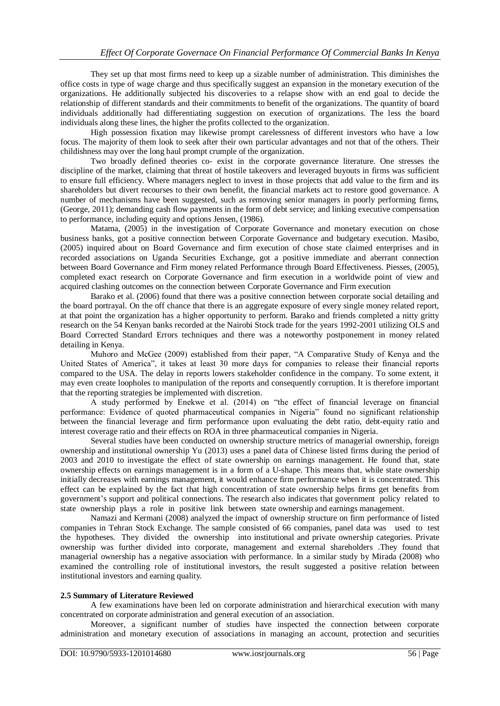They set up that most firms need to keep up a sizable number of administration. This diminishes the office costs in type of wage charge and thus specifically suggest an expansion in the monetary execution of the organizations. He additionally subjected his discoveries to a relapse show with an end goal to decide the relationship of different standards and their commitments to benefit of the organizations. The quantity of board individuals additionally had differentiating suggestion on execution of organizations. The less the board individuals along these lines, the higher the profits collected to the organization.

High possession fixation may likewise prompt carelessness of different investors who have a low focus. The majority of them look to seek after their own particular advantages and not that of the others. Their childishness may over the long haul prompt crumple of the organization.

Two broadly defined theories co- exist in the corporate governance literature. One stresses the discipline of the market, claiming that threat of hostile takeovers and leveraged buyouts in firms was sufficient to ensure full efficiency. Where managers neglect to invest in those projects that add value to the firm and its shareholders but divert recourses to their own benefit, the financial markets act to restore good governance. A number of mechanisms have been suggested, such as removing senior managers in poorly performing firms, (George, 2011); demanding cash flow payments in the form of debt service; and linking executive compensation to performance, including equity and options Jensen, (1986).

Matama, (2005) in the investigation of Corporate Governance and monetary execution on chose business banks, got a positive connection between Corporate Governance and budgetary execution. Masibo, (2005) inquired about on Board Governance and firm execution of chose state claimed enterprises and in recorded associations on Uganda Securities Exchange, got a positive immediate and aberrant connection between Board Governance and Firm money related Performance through Board Effectiveness. Piesses, (2005), completed exact research on Corporate Governance and firm execution in a worldwide point of view and acquired clashing outcomes on the connection between Corporate Governance and Firm execution

Barako et al. (2006) found that there was a positive connection between corporate social detailing and the board portrayal. On the off chance that there is an aggregate exposure of every single money related report, at that point the organization has a higher opportunity to perform. Barako and friends completed a nitty gritty research on the 54 Kenyan banks recorded at the Nairobi Stock trade for the years 1992-2001 utilizing OLS and Board Corrected Standard Errors techniques and there was a noteworthy postponement in money related detailing in Kenya.

Muhoro and McGee (2009) established from their paper, "A Comparative Study of Kenya and the United States of America", it takes at least 30 more days for companies to release their financial reports compared to the USA. The delay in reports lowers stakeholder confidence in the company. To some extent, it may even create loopholes to manipulation of the reports and consequently corruption. It is therefore important that the reporting strategies be implemented with discretion.

A study performed by Enekwe et al. (2014) on "the effect of financial leverage on financial performance: Evidence of quoted pharmaceutical companies in Nigeria" found no significant relationship between the financial leverage and firm performance upon evaluating the debt ratio, debt-equity ratio and interest coverage ratio and their effects on ROA in three pharmaceutical companies in Nigeria.

Several studies have been conducted on ownership structure metrics of managerial ownership, foreign ownership and institutional ownership Yu (2013) uses a panel data of Chinese listed firms during the period of 2003 and 2010 to investigate the effect of state ownership on earnings management. He found that, state ownership effects on earnings management is in a form of a U-shape. This means that, while state ownership initially decreases with earnings management, it would enhance firm performance when it is concentrated. This effect can be explained by the fact that high concentration of state ownership helps firms get benefits from government's support and political connections. The research also indicates that government policy related to state ownership plays a role in positive link between state ownership and earnings management.

Namazi and Kermani (2008) analyzed the impact of ownership structure on firm performance of listed companies in Tehran Stock Exchange. The sample consisted of 66 companies, panel data was used to test the hypotheses. They divided the ownership into institutional and private ownership categories. Private ownership was further divided into corporate, management and external shareholders .They found that managerial ownership has a negative association with performance. In a similar study by Mirada (2008) who examined the controlling role of institutional investors, the result suggested a positive relation between institutional investors and earning quality.

#### **2.5 Summary of Literature Reviewed**

A few examinations have been led on corporate administration and hierarchical execution with many concentrated on corporate administration and general execution of an association.

Moreover, a significant number of studies have inspected the connection between corporate administration and monetary execution of associations in managing an account, protection and securities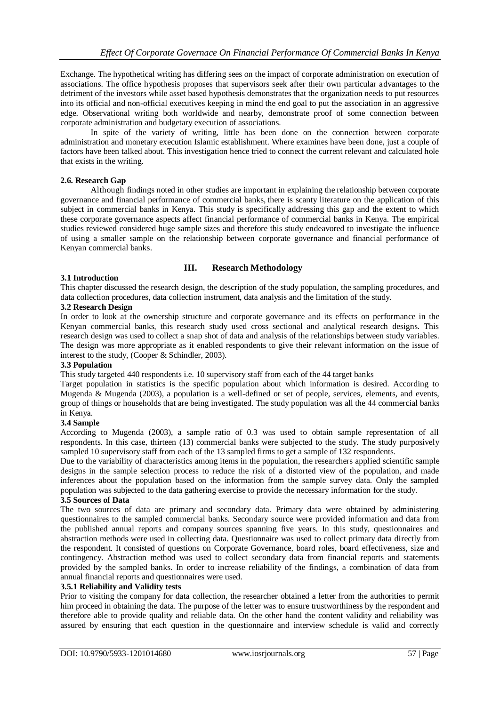Exchange. The hypothetical writing has differing sees on the impact of corporate administration on execution of associations. The office hypothesis proposes that supervisors seek after their own particular advantages to the detriment of the investors while asset based hypothesis demonstrates that the organization needs to put resources into its official and non-official executives keeping in mind the end goal to put the association in an aggressive edge. Observational writing both worldwide and nearby, demonstrate proof of some connection between corporate administration and budgetary execution of associations.

In spite of the variety of writing, little has been done on the connection between corporate administration and monetary execution Islamic establishment. Where examines have been done, just a couple of factors have been talked about. This investigation hence tried to connect the current relevant and calculated hole that exists in the writing.

## **2.6. Research Gap**

Although findings noted in other studies are important in explaining the relationship between corporate governance and financial performance of commercial banks, there is scanty literature on the application of this subject in commercial banks in Kenya. This study is specifically addressing this gap and the extent to which these corporate governance aspects affect financial performance of commercial banks in Kenya. The empirical studies reviewed considered huge sample sizes and therefore this study endeavored to investigate the influence of using a smaller sample on the relationship between corporate governance and financial performance of Kenyan commercial banks.

## **III. Research Methodology**

#### **3.1 Introduction**

This chapter discussed the research design, the description of the study population, the sampling procedures, and data collection procedures, data collection instrument, data analysis and the limitation of the study.

## **3.2 Research Design**

In order to look at the ownership structure and corporate governance and its effects on performance in the Kenyan commercial banks, this research study used cross sectional and analytical research designs. This research design was used to collect a snap shot of data and analysis of the relationships between study variables. The design was more appropriate as it enabled respondents to give their relevant information on the issue of interest to the study, (Cooper & Schindler, 2003).

#### **3.3 Population**

This study targeted 440 respondents i.e. 10 supervisory staff from each of the 44 target banks

Target population in statistics is the specific population about which information is desired. According to Mugenda & Mugenda (2003), a population is a well-defined or set of people, services, elements, and events, group of things or households that are being investigated. The study population was all the 44 commercial banks in Kenya.

#### **3.4 Sample**

According to Mugenda (2003), a sample ratio of 0.3 was used to obtain sample representation of all respondents. In this case, thirteen (13) commercial banks were subjected to the study. The study purposively sampled 10 supervisory staff from each of the 13 sampled firms to get a sample of 132 respondents.

Due to the variability of characteristics among items in the population, the researchers applied scientific sample designs in the sample selection process to reduce the risk of a distorted view of the population, and made inferences about the population based on the information from the sample survey data. Only the sampled population was subjected to the data gathering exercise to provide the necessary information for the study.

#### **3.5 Sources of Data**

The two sources of data are primary and secondary data. Primary data were obtained by administering questionnaires to the sampled commercial banks. Secondary source were provided information and data from the published annual reports and company sources spanning five years. In this study, questionnaires and abstraction methods were used in collecting data. Questionnaire was used to collect primary data directly from the respondent. It consisted of questions on Corporate Governance, board roles, board effectiveness, size and contingency. Abstraction method was used to collect secondary data from financial reports and statements provided by the sampled banks. In order to increase reliability of the findings, a combination of data from annual financial reports and questionnaires were used.

#### **3.5.1 Reliability and Validity tests**

Prior to visiting the company for data collection, the researcher obtained a letter from the authorities to permit him proceed in obtaining the data. The purpose of the letter was to ensure trustworthiness by the respondent and therefore able to provide quality and reliable data. On the other hand the content validity and reliability was assured by ensuring that each question in the questionnaire and interview schedule is valid and correctly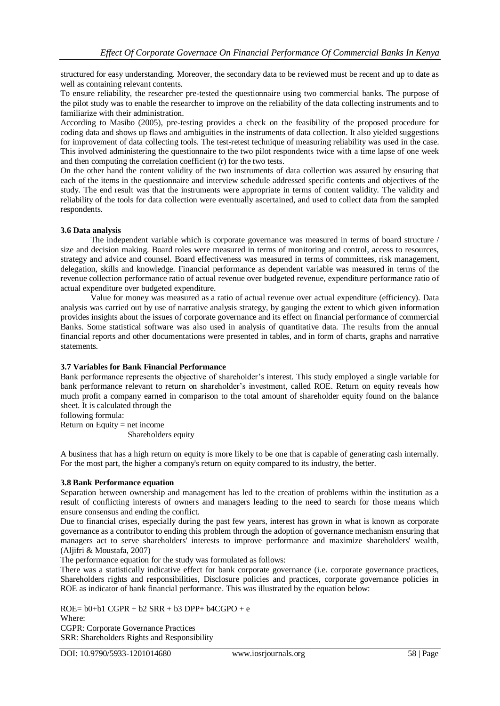structured for easy understanding. Moreover, the secondary data to be reviewed must be recent and up to date as well as containing relevant contents.

To ensure reliability, the researcher pre-tested the questionnaire using two commercial banks. The purpose of the pilot study was to enable the researcher to improve on the reliability of the data collecting instruments and to familiarize with their administration.

According to Masibo (2005), pre-testing provides a check on the feasibility of the proposed procedure for coding data and shows up flaws and ambiguities in the instruments of data collection. It also yielded suggestions for improvement of data collecting tools. The test-retest technique of measuring reliability was used in the case. This involved administering the questionnaire to the two pilot respondents twice with a time lapse of one week and then computing the correlation coefficient (r) for the two tests.

On the other hand the content validity of the two instruments of data collection was assured by ensuring that each of the items in the questionnaire and interview schedule addressed specific contents and objectives of the study. The end result was that the instruments were appropriate in terms of content validity. The validity and reliability of the tools for data collection were eventually ascertained, and used to collect data from the sampled respondents.

## **3.6 Data analysis**

The independent variable which is corporate governance was measured in terms of board structure / size and decision making. Board roles were measured in terms of monitoring and control, access to resources, strategy and advice and counsel. Board effectiveness was measured in terms of committees, risk management, delegation, skills and knowledge. Financial performance as dependent variable was measured in terms of the revenue collection performance ratio of actual revenue over budgeted revenue, expenditure performance ratio of actual expenditure over budgeted expenditure.

Value for money was measured as a ratio of actual revenue over actual expenditure (efficiency). Data analysis was carried out by use of narrative analysis strategy, by gauging the extent to which given information provides insights about the issues of corporate governance and its effect on financial performance of commercial Banks. Some statistical software was also used in analysis of quantitative data. The results from the annual financial reports and other documentations were presented in tables, and in form of charts, graphs and narrative statements.

## **3.7 Variables for Bank Financial Performance**

Bank performance represents the objective of shareholder's interest. This study employed a single variable for bank performance relevant to return on shareholder's investment, called ROE. Return on equity reveals how much profit a company earned in comparison to the total amount of shareholder equity found on the balance sheet. It is calculated through the

following formula:

Return on Equity  $=$  net income Shareholders equity

A business that has a high return on equity is more likely to be one that is capable of generating cash internally. For the most part, the higher a company's return on equity compared to its industry, the better.

## **3.8 Bank Performance equation**

Separation between ownership and management has led to the creation of problems within the institution as a result of conflicting interests of owners and managers leading to the need to search for those means which ensure consensus and ending the conflict.

Due to financial crises, especially during the past few years, interest has grown in what is known as corporate governance as a contributor to ending this problem through the adoption of governance mechanism ensuring that managers act to serve shareholders' interests to improve performance and maximize shareholders' wealth, (Aljifri & Moustafa, 2007)

The performance equation for the study was formulated as follows:

There was a statistically indicative effect for bank corporate governance (i.e. corporate governance practices, Shareholders rights and responsibilities, Disclosure policies and practices, corporate governance policies in ROE as indicator of bank financial performance. This was illustrated by the equation below:

 $ROE = b0+b1 CGPR + b2 SRR + b3 DPP+ b4CGPO + e$ Where: CGPR: Corporate Governance Practices SRR: Shareholders Rights and Responsibility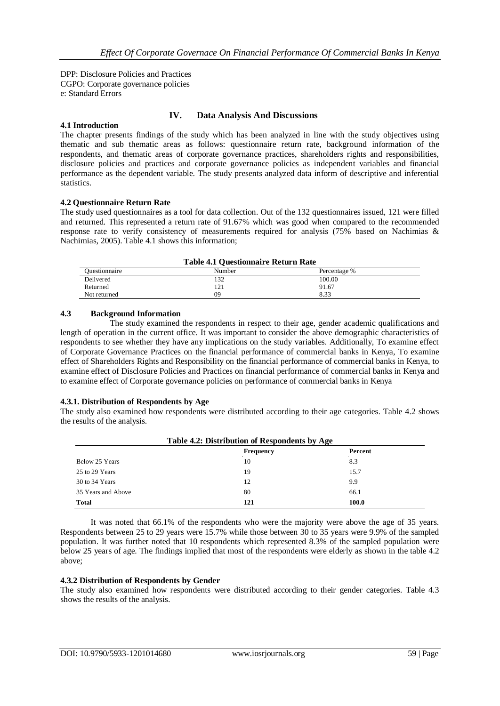DPP: Disclosure Policies and Practices CGPO: Corporate governance policies e: Standard Errors

## **IV. Data Analysis And Discussions**

## **4.1 Introduction**

The chapter presents findings of the study which has been analyzed in line with the study objectives using thematic and sub thematic areas as follows: questionnaire return rate, background information of the respondents, and thematic areas of corporate governance practices, shareholders rights and responsibilities, disclosure policies and practices and corporate governance policies as independent variables and financial performance as the dependent variable. The study presents analyzed data inform of descriptive and inferential statistics.

## **4.2 Questionnaire Return Rate**

The study used questionnaires as a tool for data collection. Out of the 132 questionnaires issued, 121 were filled and returned. This represented a return rate of 91.67% which was good when compared to the recommended response rate to verify consistency of measurements required for analysis (75% based on Nachimias & Nachimias, 2005). Table 4.1 shows this information;

| <b>Table 4.1 Questionnaire Return Rate</b> |  |
|--------------------------------------------|--|
|                                            |  |

| Ouestionnaire | Number           | Percentage % |  |
|---------------|------------------|--------------|--|
| Delivered     | 132              | 100.00       |  |
| Returned      | 12<br>$1 \leq 1$ | 91.67        |  |
| Not returned  | 09               | 8.33         |  |

## **4.3 Background Information**

The study examined the respondents in respect to their age, gender academic qualifications and length of operation in the current office. It was important to consider the above demographic characteristics of respondents to see whether they have any implications on the study variables. Additionally, To examine effect of Corporate Governance Practices on the financial performance of commercial banks in Kenya, To examine effect of Shareholders Rights and Responsibility on the financial performance of commercial banks in Kenya, to examine effect of Disclosure Policies and Practices on financial performance of commercial banks in Kenya and to examine effect of Corporate governance policies on performance of commercial banks in Kenya

#### **4.3.1. Distribution of Respondents by Age**

The study also examined how respondents were distributed according to their age categories. Table 4.2 shows the results of the analysis.

| Table 4.2: Distribution of Respondents by Age |           |         |  |  |
|-----------------------------------------------|-----------|---------|--|--|
|                                               | Frequency | Percent |  |  |
| Below 25 Years                                | 10        | 8.3     |  |  |
| 25 to 29 Years                                | 19        | 15.7    |  |  |
| 30 to 34 Years                                | 12        | 9.9     |  |  |
| 35 Years and Above                            | 80        | 66.1    |  |  |
| <b>Total</b>                                  | 121       | 100.0   |  |  |

It was noted that 66.1% of the respondents who were the majority were above the age of 35 years. Respondents between 25 to 29 years were 15.7% while those between 30 to 35 years were 9.9% of the sampled population. It was further noted that 10 respondents which represented 8.3% of the sampled population were below 25 years of age. The findings implied that most of the respondents were elderly as shown in the table 4.2 above;

## **4.3.2 Distribution of Respondents by Gender**

The study also examined how respondents were distributed according to their gender categories. Table 4.3 shows the results of the analysis.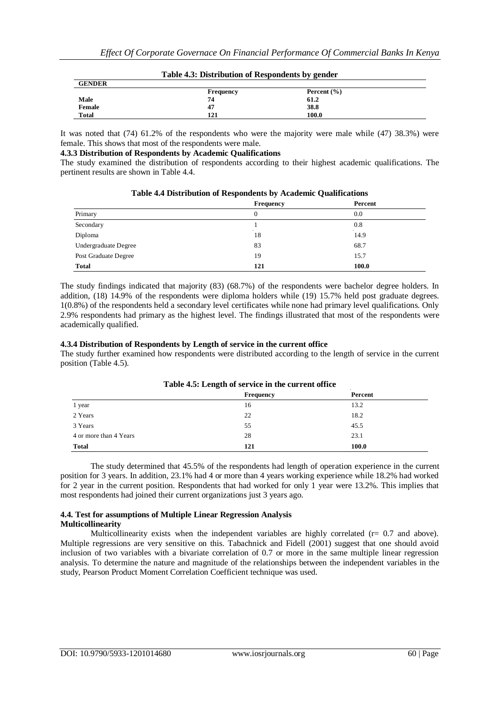|               | $2.0012$ increased and the street contraction $\sigma$ , general |                 |  |
|---------------|------------------------------------------------------------------|-----------------|--|
| <b>GENDER</b> |                                                                  |                 |  |
|               | Frequency                                                        | Percent $(\% )$ |  |
| Male          | 74                                                               | 61.2            |  |
| Female        | 47                                                               | 38.8            |  |
| <b>Total</b>  | 121                                                              | 100.0           |  |

**Table 4.3: Distribution of Respondents by gender**

It was noted that (74) 61.2% of the respondents who were the majority were male while (47) 38.3%) were female. This shows that most of the respondents were male.

#### **4.3.3 Distribution of Respondents by Academic Qualifications**

The study examined the distribution of respondents according to their highest academic qualifications. The pertinent results are shown in Table 4.4.

|                      | Frequency | Percent |
|----------------------|-----------|---------|
| Primary              | 0         | 0.0     |
| Secondary            |           | 0.8     |
| Diploma              | 18        | 14.9    |
| Undergraduate Degree | 83        | 68.7    |
| Post Graduate Degree | 19        | 15.7    |
| <b>Total</b>         | 121       | 100.0   |

## **Table 4.4 Distribution of Respondents by Academic Qualifications**

The study findings indicated that majority (83) (68.7%) of the respondents were bachelor degree holders. In addition, (18) 14.9% of the respondents were diploma holders while (19) 15.7% held post graduate degrees. 1(0.8%) of the respondents held a secondary level certificates while none had primary level qualifications. Only 2.9% respondents had primary as the highest level. The findings illustrated that most of the respondents were academically qualified.

## **4.3.4 Distribution of Respondents by Length of service in the current office**

The study further examined how respondents were distributed according to the length of service in the current position (Table 4.5).

| Table 4.5: Length of service in the current office |           |         |  |  |  |
|----------------------------------------------------|-----------|---------|--|--|--|
|                                                    | Frequency | Percent |  |  |  |
| 1 year                                             | 16        | 13.2    |  |  |  |
| 2 Years                                            | 22        | 18.2    |  |  |  |
| 3 Years                                            | 55        | 45.5    |  |  |  |
| 4 or more than 4 Years                             | 28        | 23.1    |  |  |  |
| <b>Total</b>                                       | 121       | 100.0   |  |  |  |

## **Table 4.5: Length of service in the current office**

The study determined that 45.5% of the respondents had length of operation experience in the current position for 3 years. In addition, 23.1% had 4 or more than 4 years working experience while 18.2% had worked for 2 year in the current position. Respondents that had worked for only 1 year were 13.2%. This implies that most respondents had joined their current organizations just 3 years ago.

#### **4.4. Test for assumptions of Multiple Linear Regression Analysis Multicollinearity**

Multicollinearity exists when the independent variables are highly correlated  $(r= 0.7 \text{ and above})$ . Multiple regressions are very sensitive on this. Tabachnick and Fidell (2001) suggest that one should avoid inclusion of two variables with a bivariate correlation of 0.7 or more in the same multiple linear regression analysis. To determine the nature and magnitude of the relationships between the independent variables in the study, Pearson Product Moment Correlation Coefficient technique was used.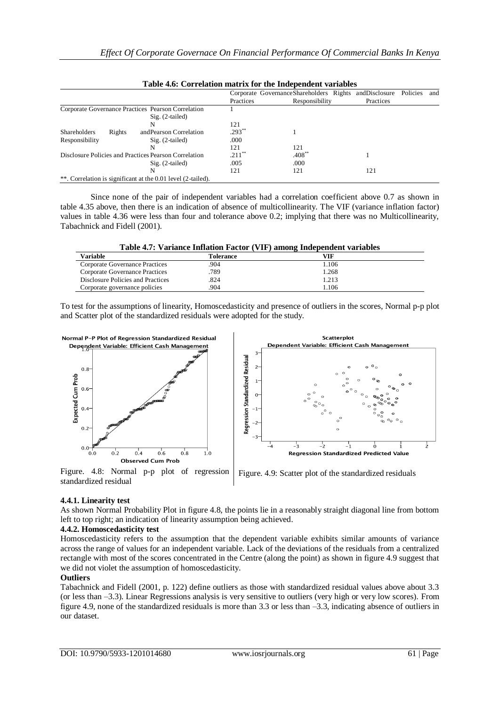|                                                                         |        |                                                              | тамс т.б. согтошной шанта гог ніс тисьсичене (агіаме) |                                                         |           |          |     |  |
|-------------------------------------------------------------------------|--------|--------------------------------------------------------------|-------------------------------------------------------|---------------------------------------------------------|-----------|----------|-----|--|
|                                                                         |        |                                                              |                                                       | Corporate Governance Shareholders Rights and Disclosure |           | Policies | and |  |
|                                                                         |        |                                                              | Practices                                             | Responsibility                                          | Practices |          |     |  |
| Corporate Governance Practices Pearson Correlation<br>$Sig. (2-tailed)$ |        |                                                              |                                                       |                                                         |           |          |     |  |
|                                                                         |        |                                                              |                                                       |                                                         |           |          |     |  |
|                                                                         |        | N                                                            | 121                                                   |                                                         |           |          |     |  |
| <b>Shareholders</b>                                                     | Rights | and Pearson Correlation                                      | $.293$ <sup>*</sup>                                   |                                                         |           |          |     |  |
| Responsibility                                                          |        | $Sig. (2-tailed)$                                            | .000                                                  |                                                         |           |          |     |  |
|                                                                         |        | N                                                            | 121                                                   | 121                                                     |           |          |     |  |
|                                                                         |        | Disclosure Policies and Practices Pearson Correlation        | .211                                                  | $.408^{\circ}$                                          |           |          |     |  |
|                                                                         |        | $Sig. (2-tailed)$                                            | .005                                                  | .000                                                    |           |          |     |  |
|                                                                         |        | N                                                            | 121                                                   | 121                                                     | 121       |          |     |  |
|                                                                         |        | **. Correlation is significant at the 0.01 level (2-tailed). |                                                       |                                                         |           |          |     |  |

**Table 4.6: Correlation matrix for the Independent variables**

Since none of the pair of independent variables had a correlation coefficient above 0.7 as shown in table 4.35 above, then there is an indication of absence of multicollinearity. The VIF (variance inflation factor) values in table 4.36 were less than four and tolerance above 0.2; implying that there was no Multicollinearity, Tabachnick and Fidell (2001).

**Table 4.7: Variance Inflation Factor (VIF) among Independent variables**

| <b>Variable</b>                          | Tolerance | VIF.  |  |
|------------------------------------------|-----------|-------|--|
| Corporate Governance Practices           | 904       | .106  |  |
| <b>Corporate Governance Practices</b>    | 789       | .268  |  |
| <b>Disclosure Policies and Practices</b> | .824      | . 213 |  |
| Corporate governance policies            | 904       | .106  |  |

To test for the assumptions of linearity, Homoscedasticity and presence of outliers in the scores, Normal p-p plot and Scatter plot of the standardized residuals were adopted for the study.



Figure. 4.8: Normal p-p plot of regression standardized residual



## **4.4.1. Linearity test**

As shown Normal Probability Plot in figure 4.8, the points lie in a reasonably straight diagonal line from bottom left to top right; an indication of linearity assumption being achieved.

## **4.4.2. Homoscedasticity test**

Homoscedasticity refers to the assumption that the dependent variable exhibits similar amounts of variance across the range of values for an independent variable. Lack of the deviations of the residuals from a centralized rectangle with most of the scores concentrated in the Centre (along the point) as shown in figure 4.9 suggest that we did not violet the assumption of homoscedasticity.

## **Outliers**

Tabachnick and Fidell (2001, p. 122) define outliers as those with standardized residual values above about 3.3 (or less than –3.3). Linear Regressions analysis is very sensitive to outliers (very high or very low scores). From figure 4.9, none of the standardized residuals is more than 3.3 or less than –3.3, indicating absence of outliers in our dataset.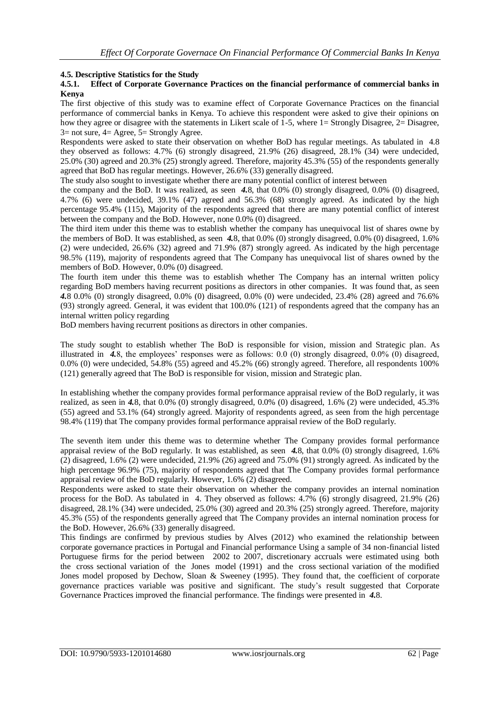## **4.5. Descriptive Statistics for the Study**

#### **4.5.1. Effect of Corporate Governance Practices on the financial performance of commercial banks in Kenya**

The first objective of this study was to examine effect of Corporate Governance Practices on the financial performance of commercial banks in Kenya. To achieve this respondent were asked to give their opinions on how they agree or disagree with the statements in Likert scale of 1-5, where 1= Strongly Disagree, 2= Disagree, 3= not sure, 4= Agree, 5= Strongly Agree.

Respondents were asked to state their observation on whether BoD has regular meetings. As tabulated in [4.8](#page-17-0) they observed as follows: 4.7% (6) strongly disagreed, 21.9% (26) disagreed, 28.1% (34) were undecided, 25.0% (30) agreed and 20.3% (25) strongly agreed. Therefore, majority 45.3% (55) of the respondents generally agreed that BoD has regular meetings. However, 26.6% (33) generally disagreed.

The study also sought to investigate whether there are many potential conflict of interest between

the company and the BoD. It was realized, as seen *[4.](#page-17-0)*8, that 0.0% (0) strongly disagreed, 0.0% (0) disagreed, 4.7% (6) were undecided, 39.1% (47) agreed and 56.3% (68) strongly agreed. As indicated by the high percentage 95.4% (115), Majority of the respondents agreed that there are many potential conflict of interest between the company and the BoD. However, none 0.0% (0) disagreed.

The third item under this theme was to establish whether the company has unequivocal list of shares owne by the members of BoD. It was established, as seen *[4.](#page-17-0)*8, that 0.0% (0) strongly disagreed, 0.0% (0) disagreed, 1.6% (2) were undecided, 26.6% (32) agreed and 71.9% (87) strongly agreed. As indicated by the high percentage 98.5% (119), majority of respondents agreed that The Company has unequivocal list of shares owned by the members of BoD. However, 0.0% (0) disagreed.

The fourth item under this theme was to establish whether The Company has an internal written policy regarding BoD members having recurrent positions as directors in other companies. It was found that, as seen *[4.](#page-17-0)*8 0.0% (0) strongly disagreed, 0.0% (0) disagreed, 0.0% (0) were undecided, 23.4% (28) agreed and 76.6% (93) strongly agreed. General, it was evident that 100.0% (121) of respondents agreed that the company has an internal written policy regarding

BoD members having recurrent positions as directors in other companies.

The study sought to establish whether The BoD is responsible for vision, mission and Strategic plan. As illustrated in *[4.](#page-17-0)*8, the employees' responses were as follows: 0.0 (0) strongly disagreed, 0.0% (0) disagreed, 0.0% (0) were undecided, 54.8% (55) agreed and 45.2% (66) strongly agreed. Therefore, all respondents 100% (121) generally agreed that The BoD is responsible for vision, mission and Strategic plan.

In establishing whether the company provides formal performance appraisal review of the BoD regularly, it was realized, as seen in *[4.](#page-17-0)*8, that 0.0% (0) strongly disagreed, 0.0% (0) disagreed, 1.6% (2) were undecided, 45.3% (55) agreed and 53.1% (64) strongly agreed. Majority of respondents agreed, as seen from the high percentage 98.4% (119) that The company provides formal performance appraisal review of the BoD regularly.

The seventh item under this theme was to determine whether The Company provides formal performance appraisal review of the BoD regularly. It was established, as seen *[4.](#page-17-0)*8, that 0.0% (0) strongly disagreed, 1.6% (2) disagreed, 1.6% (2) were undecided, 21.9% (26) agreed and 75.0% (91) strongly agreed. As indicated by the high percentage 96.9% (75), majority of respondents agreed that The Company provides formal performance appraisal review of the BoD regularly. However, 1.6% (2) disagreed.

Respondents were asked to state their observation on whether the company provides an internal nomination process for the BoD. As tabulated in [4.](#page-17-0) They observed as follows: 4.7% (6) strongly disagreed, 21.9% (26) disagreed, 28.1% (34) were undecided, 25.0% (30) agreed and 20.3% (25) strongly agreed. Therefore, majority 45.3% (55) of the respondents generally agreed that The Company provides an internal nomination process for the BoD. However, 26.6% (33) generally disagreed.

This findings are confirmed by previous studies by Alves (2012) who examined the relationship between corporate governance practices in Portugal and Financial performance Using a sample of 34 non-financial listed Portuguese firms for the period between 2002 to 2007, discretionary accruals were estimated using both the cross sectional variation of the Jones model (1991) and the cross sectional variation of the modified Jones model proposed by Dechow, Sloan & Sweeney (1995). They found that, the coefficient of corporate governance practices variable was positive and significant. The study's result suggested that Corporate Governance Practices improved the financial performance. The findings were presented in *[4.](#page-17-0)*8.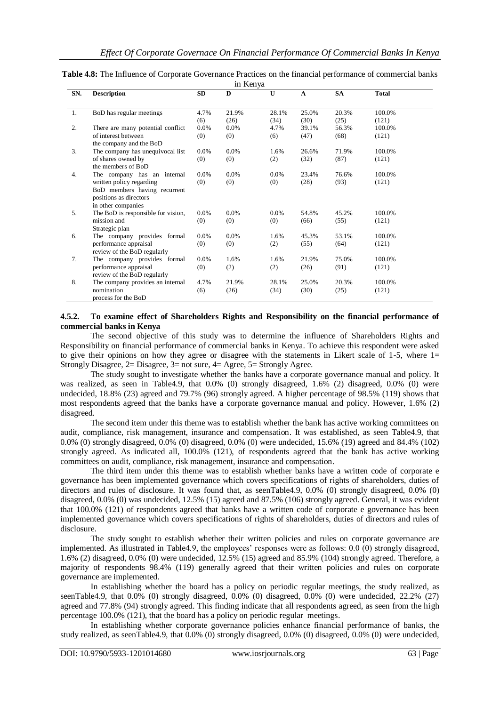<span id="page-17-0"></span>

| Table 4.8: The Influence of Corporate Governance Practices on the financial performance of commercial banks |  |
|-------------------------------------------------------------------------------------------------------------|--|
| in Kenva                                                                                                    |  |

|     |                                    |      | ш тепуа |              |              |           |              |
|-----|------------------------------------|------|---------|--------------|--------------|-----------|--------------|
| SN. | <b>Description</b>                 | SD.  | D       | $\mathbf{U}$ | $\mathbf{A}$ | <b>SA</b> | <b>Total</b> |
|     |                                    |      |         |              |              |           |              |
| 1.  | BoD has regular meetings           | 4.7% | 21.9%   | 28.1%        | 25.0%        | 20.3%     | 100.0%       |
|     |                                    | (6)  | (26)    | (34)         | (30)         | (25)      | (121)        |
| 2.  | There are many potential conflict  | 0.0% | 0.0%    | 4.7%         | 39.1%        | 56.3%     | 100.0%       |
|     | of interest between                | (0)  | (0)     | (6)          | (47)         | (68)      | (121)        |
|     | the company and the BoD            |      |         |              |              |           |              |
| 3.  | The company has unequivocal list   | 0.0% | $0.0\%$ | 1.6%         | 26.6%        | 71.9%     | 100.0%       |
|     | of shares owned by                 | (0)  | (0)     | (2)          | (32)         | (87)      | (121)        |
|     | the members of BoD                 |      |         |              |              |           |              |
| 4.  | The company has an internal        | 0.0% | $0.0\%$ | 0.0%         | 23.4%        | 76.6%     | 100.0%       |
|     | written policy regarding           | (0)  | (0)     | (0)          | (28)         | (93)      | (121)        |
|     | BoD members having recurrent       |      |         |              |              |           |              |
|     | positions as directors             |      |         |              |              |           |              |
|     | in other companies                 |      |         |              |              |           |              |
| 5.  | The BoD is responsible for vision, | 0.0% | $0.0\%$ | 0.0%         | 54.8%        | 45.2%     | 100.0%       |
|     | mission and                        | (0)  | (0)     | (0)          | (66)         | (55)      | (121)        |
|     | Strategic plan                     |      |         |              |              |           |              |
| 6.  | The company provides formal        | 0.0% | $0.0\%$ | 1.6%         | 45.3%        | 53.1%     | 100.0%       |
|     | performance appraisal              | (0)  | (0)     | (2)          | (55)         | (64)      | (121)        |
|     | review of the BoD regularly        |      |         |              |              |           |              |
| 7.  | The company provides formal        | 0.0% | 1.6%    | 1.6%         | 21.9%        | 75.0%     | 100.0%       |
|     | performance appraisal              | (0)  | (2)     | (2)          | (26)         | (91)      | (121)        |
|     | review of the BoD regularly        |      |         |              |              |           |              |
| 8.  | The company provides an internal   | 4.7% | 21.9%   | 28.1%        | 25.0%        | 20.3%     | 100.0%       |
|     | nomination                         | (6)  | (26)    | (34)         | (30)         | (25)      | (121)        |
|     | process for the BoD                |      |         |              |              |           |              |

## **4.5.2. To examine effect of Shareholders Rights and Responsibility on the financial performance of commercial banks in Kenya**

The second objective of this study was to determine the influence of Shareholders Rights and Responsibility on financial performance of commercial banks in Kenya. To achieve this respondent were asked to give their opinions on how they agree or disagree with the statements in Likert scale of 1-5, where  $1=$ Strongly Disagree, 2= Disagree, 3= not sure, 4= Agree, 5= Strongly Agree.

The study sought to investigate whether the banks have a corporate governance manual and policy. It was realized, as seen in [Table4.9](#page-18-0), that 0.0% (0) strongly disagreed, 1.6% (2) disagreed, 0.0% (0) were undecided, 18.8% (23) agreed and 79.7% (96) strongly agreed. A higher percentage of 98.5% (119) shows that most respondents agreed that the banks have a corporate governance manual and policy. However, 1.6% (2) disagreed.

The second item under this theme was to establish whether the bank has active working committees on audit, compliance, risk management, insurance and compensation. It was established, as seen [Table4.9](#page-18-0), that 0.0% (0) strongly disagreed, 0.0% (0) disagreed, 0.0% (0) were undecided, 15.6% (19) agreed and 84.4% (102) strongly agreed. As indicated all, 100.0% (121), of respondents agreed that the bank has active working committees on audit, compliance, risk management, insurance and compensation.

The third item under this theme was to establish whether banks have a written code of corporate e governance has been implemented governance which covers specifications of rights of shareholders, duties of directors and rules of disclosure. It was found that, as see[nTable4.9](#page-18-0), 0.0% (0) strongly disagreed, 0.0% (0) disagreed, 0.0% (0) was undecided, 12.5% (15) agreed and 87.5% (106) strongly agreed. General, it was evident that 100.0% (121) of respondents agreed that banks have a written code of corporate e governance has been implemented governance which covers specifications of rights of shareholders, duties of directors and rules of disclosure.

The study sought to establish whether their written policies and rules on corporate governance are implemented. As illustrated in [Table4.9](#page-18-0), the employees' responses were as follows: 0.0 (0) strongly disagreed, 1.6% (2) disagreed, 0.0% (0) were undecided, 12.5% (15) agreed and 85.9% (104) strongly agreed. Therefore, a majority of respondents 98.4% (119) generally agreed that their written policies and rules on corporate governance are implemented.

In establishing whether the board has a policy on periodic regular meetings, the study realized, as see[nTable4.9](#page-18-0), that 0.0% (0) strongly disagreed, 0.0% (0) disagreed, 0.0% (0) were undecided, 22.2% (27) agreed and 77.8% (94) strongly agreed. This finding indicate that all respondents agreed, as seen from the high percentage 100.0% (121), that the board has a policy on periodic regular meetings.

In establishing whether corporate governance policies enhance financial performance of banks, the study realized, as see[nTable4.9](#page-18-0), that 0.0% (0) strongly disagreed, 0.0% (0) disagreed, 0.0% (0) were undecided,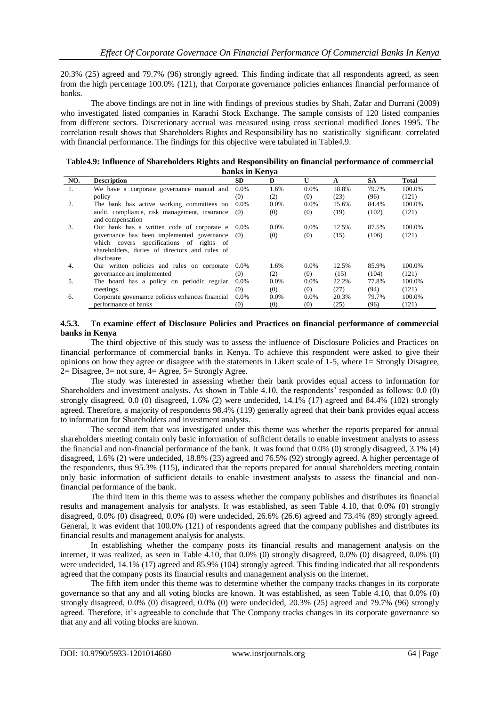20.3% (25) agreed and 79.7% (96) strongly agreed. This finding indicate that all respondents agreed, as seen from the high percentage 100.0% (121), that Corporate governance policies enhances financial performance of banks.

The above findings are not in line with findings of previous studies by Shah, Zafar and Durrani (2009) who investigated listed companies in Karachi Stock Exchange. The sample consists of 120 listed companies from different sectors. Discretionary accrual was measured using cross sectional modified Jones 1995. The correlation result shows that Shareholders Rights and Responsibility has no statistically significant correlated with financial performance. The findings for this objective were tabulated in [Table4.9](#page-18-0).

<span id="page-18-0"></span>

| Table4.9: Influence of Shareholders Rights and Responsibility on financial performance of commercial |
|------------------------------------------------------------------------------------------------------|
| banks in Kenva                                                                                       |

|                  | $\sim$ umo m rivn $\mu$                          |         |         |              |       |       |              |  |
|------------------|--------------------------------------------------|---------|---------|--------------|-------|-------|--------------|--|
| NO.              | <b>Description</b>                               | SD.     | D       | $\mathbf{U}$ | A     | SA    | <b>Total</b> |  |
| 1.               | We have a corporate governance manual and        | $0.0\%$ | 1.6%    | 0.0%         | 18.8% | 79.7% | 100.0%       |  |
|                  | policy                                           | (0)     | (2)     | (0)          | (23)  | (96)  | (121)        |  |
| 2.               | The bank has active working committees on        | $0.0\%$ | $0.0\%$ | $0.0\%$      | 15.6% | 84.4% | 100.0%       |  |
|                  | audit, compliance, risk management, insurance    | (0)     | (0)     | (0)          | (19)  | (102) | (121)        |  |
|                  | and compensation                                 |         |         |              |       |       |              |  |
| 3.               | Our bank has a written code of corporate e       | $0.0\%$ | $0.0\%$ | $0.0\%$      | 12.5% | 87.5% | 100.0%       |  |
|                  | governance has been implemented governance       | (0)     | (0)     | (0)          | (15)  | (106) | (121)        |  |
|                  | which covers specifications of rights of         |         |         |              |       |       |              |  |
|                  | shareholders, duties of directors and rules of   |         |         |              |       |       |              |  |
|                  | disclosure                                       |         |         |              |       |       |              |  |
| $\overline{4}$ . | Our written policies and rules on corporate      | $0.0\%$ | 1.6%    | $0.0\%$      | 12.5% | 85.9% | 100.0%       |  |
|                  | governance are implemented                       | (0)     | (2)     | (0)          | (15)  | (104) | (121)        |  |
| 5.               | The board has a policy on periodic regular       | $0.0\%$ | $0.0\%$ | $0.0\%$      | 22.2% | 77.8% | 100.0%       |  |
|                  | meetings                                         | (0)     | (0)     | (0)          | (27)  | (94)  | (121)        |  |
| 6.               | Corporate governance policies enhances financial | $0.0\%$ | $0.0\%$ | 0.0%         | 20.3% | 79.7% | 100.0%       |  |
|                  | performance of banks                             | (0)     | (0)     | (0)          | (25)  | (96)  | (121)        |  |
|                  |                                                  |         |         |              |       |       |              |  |

#### **4.5.3. To examine effect of Disclosure Policies and Practices on financial performance of commercial banks in Kenya**

The third objective of this study was to assess the influence of Disclosure Policies and Practices on financial performance of commercial banks in Kenya. To achieve this respondent were asked to give their opinions on how they agree or disagree with the statements in Likert scale of 1-5, where 1= Strongly Disagree,  $2=$  Disagree,  $3=$  not sure,  $4=$  Agree,  $5=$  Strongly Agree.

The study was interested in assessing whether their bank provides equal access to information for Shareholders and investment analysts. As shown in [Table 4.1](#page-19-0)0, the respondents' responded as follows: 0.0 (0) strongly disagreed, 0.0 (0) disagreed, 1.6% (2) were undecided, 14.1% (17) agreed and 84.4% (102) strongly agreed. Therefore, a majority of respondents 98.4% (119) generally agreed that their bank provides equal access to information for Shareholders and investment analysts.

The second item that was investigated under this theme was whether the reports prepared for annual shareholders meeting contain only basic information of sufficient details to enable investment analysts to assess the financial and non-financial performance of the bank. It was found that 0.0% (0) strongly disagreed, 3.1% (4) disagreed, 1.6% (2) were undecided, 18.8% (23) agreed and 76.5% (92) strongly agreed. A higher percentage of the respondents, thus 95.3% (115), indicated that the reports prepared for annual shareholders meeting contain only basic information of sufficient details to enable investment analysts to assess the financial and nonfinancial performance of the bank.

The third item in this theme was to assess whether the company publishes and distributes its financial results and management analysis for analysts. It was established, as seen Table 4.10, that 0.0% (0) strongly disagreed, 0.0% (0) disagreed, 0.0% (0) were undecided, 26.6% (26.6) agreed and 73.4% (89) strongly agreed. General, it was evident that 100.0% (121) of respondents agreed that the company publishes and distributes its financial results and management analysis for analysts.

In establishing whether the company posts its financial results and management analysis on the internet, it was realized, as seen in [Table 4.1](#page-19-0)0, that 0.0% (0) strongly disagreed, 0.0% (0) disagreed, 0.0% (0) were undecided, 14.1% (17) agreed and 85.9% (104) strongly agreed. This finding indicated that all respondents agreed that the company posts its financial results and management analysis on the internet.

The fifth item under this theme was to determine whether the company tracks changes in its corporate governance so that any and all voting blocks are known. It was established, as seen [Table 4.1](#page-19-0)0, that 0.0% (0) strongly disagreed, 0.0% (0) disagreed, 0.0% (0) were undecided, 20.3% (25) agreed and 79.7% (96) strongly agreed. Therefore, it's agreeable to conclude that The Company tracks changes in its corporate governance so that any and all voting blocks are known.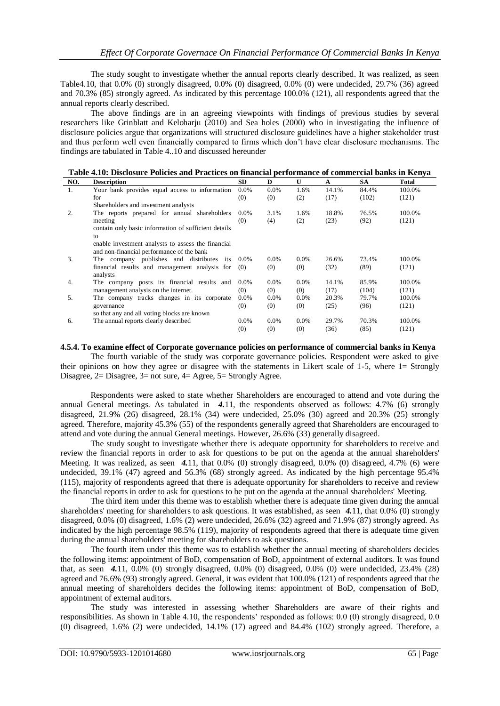The study sought to investigate whether the annual reports clearly described. It was realized, as seen Table4.10, that 0.0% (0) strongly disagreed, 0.0% (0) disagreed, 0.0% (0) were undecided, 29.7% (36) agreed and 70.3% (85) strongly agreed. As indicated by this percentage 100.0% (121), all respondents agreed that the annual reports clearly described.

The above findings are in an agreeing viewpoints with findings of previous studies by several researchers like Grinblatt and Keloharju (2010) and Sea holes (2000) who in investigating the influence of disclosure policies argue that organizations will structured disclosure guidelines have a higher stakeholder trust and thus perform well even financially compared to firms which don't have clear disclosure mechanisms. The findings are tabulated in [Table 4..](#page-19-0)10 and discussed hereunder

<span id="page-19-0"></span>

|     | Table 4.10: Disclosure Policies and Practices on financial performance of commercial banks in Kenya |  |  |       |
|-----|-----------------------------------------------------------------------------------------------------|--|--|-------|
| NO. | <b>Description</b>                                                                                  |  |  | Total |

| w. | DUSLIPHUM                                            | υv.     | IJ.     | ັ       | л     | υn.   | 1 vtal |
|----|------------------------------------------------------|---------|---------|---------|-------|-------|--------|
| 1. | Your bank provides equal access to information       | $0.0\%$ | $0.0\%$ | 1.6%    | 14.1% | 84.4% | 100.0% |
|    | for                                                  | (0)     | (0)     | (2)     | (17)  | (102) | (121)  |
|    | Shareholders and investment analysts                 |         |         |         |       |       |        |
| 2. | The reports prepared for annual shareholders         | $0.0\%$ | 3.1%    | 1.6%    | 18.8% | 76.5% | 100.0% |
|    | meeting                                              | (0)     | (4)     | (2)     | (23)  | (92)  | (121)  |
|    | contain only basic information of sufficient details |         |         |         |       |       |        |
|    | to                                                   |         |         |         |       |       |        |
|    | enable investment analysts to assess the financial   |         |         |         |       |       |        |
|    | and non-financial performance of the bank            |         |         |         |       |       |        |
| 3. | The company publishes and distributes<br>its         | $0.0\%$ | $0.0\%$ | $0.0\%$ | 26.6% | 73.4% | 100.0% |
|    | financial results and management analysis for        | (0)     | (0)     | (0)     | (32)  | (89)  | (121)  |
|    | analysts                                             |         |         |         |       |       |        |
| 4. | The company posts its financial results and          | $0.0\%$ | $0.0\%$ | $0.0\%$ | 14.1% | 85.9% | 100.0% |
|    | management analysis on the internet.                 | (0)     | (0)     | (0)     | (17)  | (104) | (121)  |
| 5. | The company tracks changes in its corporate          | $0.0\%$ | $0.0\%$ | $0.0\%$ | 20.3% | 79.7% | 100.0% |
|    | governance                                           | (0)     | (0)     | (0)     | (25)  | (96)  | (121)  |
|    | so that any and all voting blocks are known          |         |         |         |       |       |        |
| 6. | The annual reports clearly described                 | $0.0\%$ | $0.0\%$ | $0.0\%$ | 29.7% | 70.3% | 100.0% |
|    |                                                      | (0)     | (0)     | (0)     | (36)  | (85)  | (121)  |
|    |                                                      |         |         |         |       |       |        |

**4.5.4. To examine effect of Corporate governance policies on performance of commercial banks in Kenya**

The fourth variable of the study was corporate governance policies. Respondent were asked to give their opinions on how they agree or disagree with the statements in Likert scale of 1-5, where 1= Strongly Disagree, 2= Disagree, 3= not sure, 4= Agree, 5= Strongly Agree.

Respondents were asked to state whether Shareholders are encouraged to attend and vote during the annual General meetings. As tabulated in *[4.](#page-17-0)*11, the respondents observed as follows: 4.7% (6) strongly disagreed, 21.9% (26) disagreed, 28.1% (34) were undecided, 25.0% (30) agreed and 20.3% (25) strongly agreed. Therefore, majority 45.3% (55) of the respondents generally agreed that Shareholders are encouraged to attend and vote during the annual General meetings. However, 26.6% (33) generally disagreed.

The study sought to investigate whether there is adequate opportunity for shareholders to receive and review the financial reports in order to ask for questions to be put on the agenda at the annual shareholders' Meeting. It was realized, as seen *[4.](#page-17-0)*11, that 0.0% (0) strongly disagreed, 0.0% (0) disagreed, 4.7% (6) were undecided, 39.1% (47) agreed and 56.3% (68) strongly agreed. As indicated by the high percentage 95.4% (115), majority of respondents agreed that there is adequate opportunity for shareholders to receive and review the financial reports in order to ask for questions to be put on the agenda at the annual shareholders' Meeting.

The third item under this theme was to establish whether there is adequate time given during the annual shareholders' meeting for shareholders to ask questions. It was established, as seen *[4.](#page-17-0)*11, that 0.0% (0) strongly disagreed, 0.0% (0) disagreed, 1.6% (2) were undecided, 26.6% (32) agreed and 71.9% (87) strongly agreed. As indicated by the high percentage 98.5% (119), majority of respondents agreed that there is adequate time given during the annual shareholders' meeting for shareholders to ask questions.

The fourth item under this theme was to establish whether the annual meeting of shareholders decides the following items: appointment of BoD, compensation of BoD, appointment of external auditors. It was found that, as seen *[4.](#page-17-0)*11, 0.0% (0) strongly disagreed, 0.0% (0) disagreed, 0.0% (0) were undecided, 23.4% (28) agreed and 76.6% (93) strongly agreed. General, it was evident that 100.0% (121) of respondents agreed that the annual meeting of shareholders decides the following items: appointment of BoD, compensation of BoD, appointment of external auditors.

The study was interested in assessing whether Shareholders are aware of their rights and responsibilities. As shown in [Table 4.1](#page-19-0)0, the respondents' responded as follows: 0.0 (0) strongly disagreed, 0.0 (0) disagreed, 1.6% (2) were undecided, 14.1% (17) agreed and 84.4% (102) strongly agreed. Therefore, a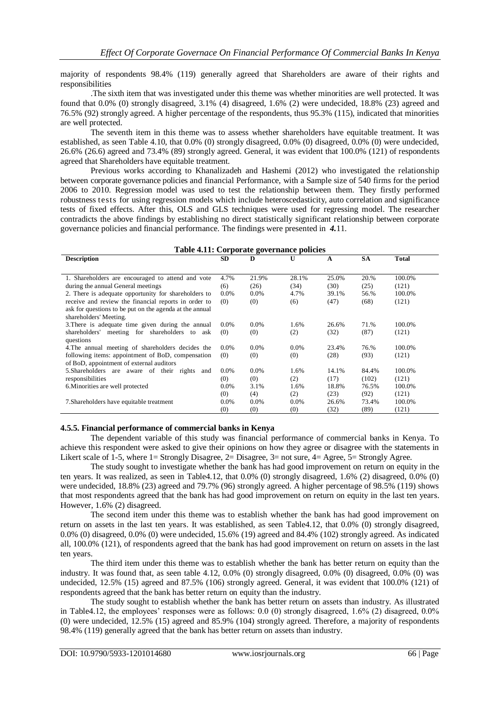majority of respondents 98.4% (119) generally agreed that Shareholders are aware of their rights and responsibilities

.The sixth item that was investigated under this theme was whether minorities are well protected. It was found that 0.0% (0) strongly disagreed, 3.1% (4) disagreed, 1.6% (2) were undecided, 18.8% (23) agreed and 76.5% (92) strongly agreed. A higher percentage of the respondents, thus 95.3% (115), indicated that minorities are well protected.

The seventh item in this theme was to assess whether shareholders have equitable treatment. It was established, as seen Table 4.10, that 0.0% (0) strongly disagreed, 0.0% (0) disagreed, 0.0% (0) were undecided, 26.6% (26.6) agreed and 73.4% (89) strongly agreed. General, it was evident that 100.0% (121) of respondents agreed that Shareholders have equitable treatment.

Previous works according to Khanalizadeh and Hashemi (2012) who investigated the relationship between corporate governance policies and financial Performance, with a Sample size of 540 firms for the period 2006 to 2010. Regression model was used to test the relationship between them. They firstly performed robustness tests for using regression models which include heteroscedasticity, auto correlation and significance tests of fixed effects. After this, OLS and GLS techniques were used for regressing model. The researcher contradicts the above findings by establishing no direct statistically significant relationship between corporate governance policies and financial performance. The findings were presented in *[4.](#page-17-0)*11.

| Table 4.11: Corporate governance policies               |         |         |         |       |           |        |
|---------------------------------------------------------|---------|---------|---------|-------|-----------|--------|
| <b>Description</b>                                      | SD.     | D       | U       | A     | <b>SA</b> | Total  |
|                                                         |         |         |         |       |           |        |
| 1. Shareholders are encouraged to attend and vote       | 4.7%    | 21.9%   | 28.1%   | 25.0% | 20.%      | 100.0% |
| during the annual General meetings                      | (6)     | (26)    | (34)    | (30)  | (25)      | (121)  |
| 2. There is adequate opportunity for shareholders to    | 0.0%    | $0.0\%$ | 4.7%    | 39.1% | 56.%      | 100.0% |
| receive and review the financial reports in order to    | (0)     | (0)     | (6)     | (47)  | (68)      | (121)  |
| ask for questions to be put on the agenda at the annual |         |         |         |       |           |        |
| shareholders' Meeting.                                  |         |         |         |       |           |        |
| 3. There is adequate time given during the annual       | $0.0\%$ | $0.0\%$ | 1.6%    | 26.6% | 71.%      | 100.0% |
| shareholders' meeting for shareholders to ask           | (0)     | (0)     | (2)     | (32)  | (87)      | (121)  |
| questions                                               |         |         |         |       |           |        |
| 4. The annual meeting of shareholders decides the       | $0.0\%$ | $0.0\%$ | 0.0%    | 23.4% | 76.%      | 100.0% |
| following items: appointment of BoD, compensation       | (0)     | (0)     | (0)     | (28)  | (93)      | (121)  |
| of BoD, appointment of external auditors                |         |         |         |       |           |        |
| 5. Shareholders are aware of their rights<br>and        | $0.0\%$ | 0.0%    | 1.6%    | 14.1% | 84.4%     | 100.0% |
| responsibilities                                        | (0)     | (0)     | (2)     | (17)  | (102)     | (121)  |
| 6. Minorities are well protected                        | 0.0%    | 3.1%    | 1.6%    | 18.8% | 76.5%     | 100.0% |
|                                                         | (0)     | (4)     | (2)     | (23)  | (92)      | (121)  |
| 7. Shareholders have equitable treatment                | 0.0%    | 0.0%    | $0.0\%$ | 26.6% | 73.4%     | 100.0% |
|                                                         | (0)     | (0)     | (0)     | (32)  | (89)      | (121)  |

#### **4.5.5. Financial performance of commercial banks in Kenya**

The dependent variable of this study was financial performance of commercial banks in Kenya. To achieve this respondent were asked to give their opinions on how they agree or disagree with the statements in Likert scale of 1-5, where 1= Strongly Disagree,  $2=$  Disagree,  $3=$  not sure,  $4=$  Agree,  $5=$  Strongly Agree.

The study sought to investigate whether the bank has had good improvement on return on equity in the ten years. It was realized, as seen in [Table4.1](#page-18-0)2, that 0.0% (0) strongly disagreed, 1.6% (2) disagreed, 0.0% (0) were undecided, 18.8% (23) agreed and 79.7% (96) strongly agreed. A higher percentage of 98.5% (119) shows that most respondents agreed that the bank has had good improvement on return on equity in the last ten years. However, 1.6% (2) disagreed.

The second item under this theme was to establish whether the bank has had good improvement on return on assets in the last ten years. It was established, as seen [Table4.1](#page-18-0)2, that 0.0% (0) strongly disagreed, 0.0% (0) disagreed, 0.0% (0) were undecided, 15.6% (19) agreed and 84.4% (102) strongly agreed. As indicated all, 100.0% (121), of respondents agreed that the bank has had good improvement on return on assets in the last ten years.

The third item under this theme was to establish whether the bank has better return on equity than the industry. It was found that, as seen table 4.12, 0.0% (0) strongly disagreed, 0.0% (0) disagreed, 0.0% (0) was undecided, 12.5% (15) agreed and 87.5% (106) strongly agreed. General, it was evident that 100.0% (121) of respondents agreed that the bank has better return on equity than the industry.

The study sought to establish whether the bank has better return on assets than industry. As illustrated in [Table4.1](#page-18-0)2, the employees' responses were as follows: 0.0 (0) strongly disagreed, 1.6% (2) disagreed, 0.0% (0) were undecided, 12.5% (15) agreed and 85.9% (104) strongly agreed. Therefore, a majority of respondents 98.4% (119) generally agreed that the bank has better return on assets than industry.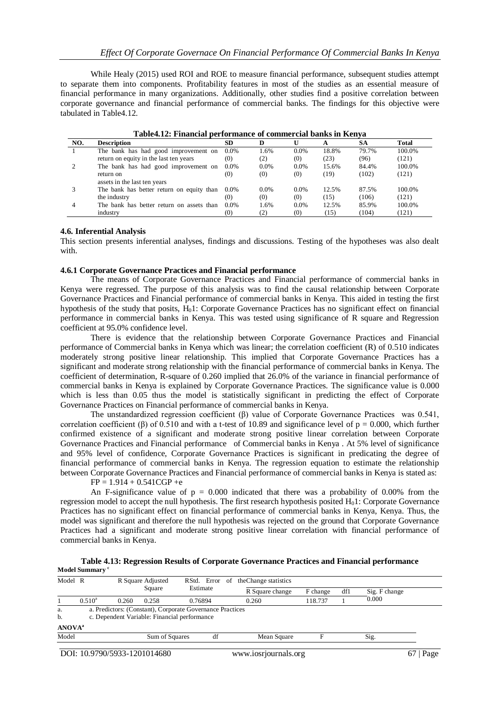While Healy (2015) used ROI and ROE to measure financial performance, subsequent studies attempt to separate them into components. Profitability features in most of the studies as an essential measure of financial performance in many organizations. Additionally, other studies find a positive correlation between corporate governance and financial performance of commercial banks. The findings for this objective were tabulated i[n Table4.1](#page-18-0)2.

| NO. | <b>Description</b>                        | <b>SD</b> |         |         |       | SA    | <b>Total</b> |
|-----|-------------------------------------------|-----------|---------|---------|-------|-------|--------------|
|     | The bank has had good improvement on      | $0.0\%$   | 1.6%    | $0.0\%$ | 18.8% | 79.7% | 100.0%       |
|     | return on equity in the last ten years    | (0)       | (2)     | (0)     | (23)  | (96)  | (121)        |
|     | The bank has had good improvement on      | $0.0\%$   | 0.0%    | 0.0%    | 15.6% | 84.4% | 100.0%       |
|     | return on                                 | (0)       | (0)     | (0)     | (19)  | (102) | (121)        |
|     | assets in the last ten years              |           |         |         |       |       |              |
|     | The bank has better return on equity than | $0.0\%$   | $0.0\%$ | 0.0%    | 12.5% | 87.5% | 100.0%       |
|     | the industry                              | (0)       | (0)     | (0)     | (15)  | (106) | (121)        |
| 4   | The bank has better return on assets than | $0.0\%$   | 1.6%    | $0.0\%$ | 12.5% | 85.9% | 100.0%       |
|     | industry                                  | (0)       | (2)     | (0)     | (15)  | (104) | (121)        |

#### **Table4.12: Financial performance of commercial banks in Kenya**

#### **4.6. Inferential Analysis**

This section presents inferential analyses, findings and discussions. Testing of the hypotheses was also dealt with.

#### **4.6.1 Corporate Governance Practices and Financial performance**

The means of Corporate Governance Practices and Financial performance of commercial banks in Kenya were regressed. The purpose of this analysis was to find the causal relationship between Corporate Governance Practices and Financial performance of commercial banks in Kenya. This aided in testing the first hypothesis of the study that posits, H<sub>0</sub>1: Corporate Governance Practices has no significant effect on financial performance in commercial banks in Kenya. This was tested using significance of R square and Regression coefficient at 95.0% confidence level.

There is evidence that the relationship between Corporate Governance Practices and Financial performance of Commercial banks in Kenya which was linear; the correlation coefficient (R) of 0.510 indicates moderately strong positive linear relationship. This implied that Corporate Governance Practices has a significant and moderate strong relationship with the financial performance of commercial banks in Kenya. The coefficient of determination, R-square of 0.260 implied that 26.0% of the variance in financial performance of commercial banks in Kenya is explained by Corporate Governance Practices. The significance value is 0.000 which is less than 0.05 thus the model is statistically significant in predicting the effect of Corporate Governance Practices on Financial performance of commercial banks in Kenya.

The unstandardized regression coefficient (β) value of Corporate Governance Practices was 0.541, correlation coefficient (β) of 0.510 and with a t-test of 10.89 and significance level of  $p = 0.000$ , which further confirmed existence of a significant and moderate strong positive linear correlation between Corporate Governance Practices and Financial performance of Commercial banks in Kenya . At 5% level of significance and 95% level of confidence, Corporate Governance Practices is significant in predicating the degree of financial performance of commercial banks in Kenya. The regression equation to estimate the relationship between Corporate Governance Practices and Financial performance of commercial banks in Kenya is stated as:

#### $FP = 1.914 + 0.541CGP +e$

An F-significance value of  $p = 0.000$  indicated that there was a probability of 0.00% from the regression model to accept the null hypothesis. The first research hypothesis posited  $H<sub>0</sub>1$ : Corporate Governance Practices has no significant effect on financial performance of commercial banks in Kenya, Kenya. Thus, the model was significant and therefore the null hypothesis was rejected on the ground that Corporate Governance Practices had a significant and moderate strong positive linear correlation with financial performance of commercial banks in Kenya.

**Table 4.13: Regression Results of Corporate Governance Practices and Financial performance Model Summary <sup>c</sup>**

| Model R                   |           | R Square Adjusted |                                                           |          | RStd. Error of the Change statistics |          |     |               |  |
|---------------------------|-----------|-------------------|-----------------------------------------------------------|----------|--------------------------------------|----------|-----|---------------|--|
|                           |           |                   | Square                                                    | Estimate | R Square change                      | F change | df1 | Sig. F change |  |
|                           | $0.510^a$ | 0.260             | 0.258                                                     | 0.76894  | 0.260                                | 118.737  |     | 0.000         |  |
| a.                        |           |                   | a. Predictors: (Constant), Corporate Governance Practices |          |                                      |          |     |               |  |
| b.                        |           |                   | c. Dependent Variable: Financial performance              |          |                                      |          |     |               |  |
| <b>ANOVA</b> <sup>a</sup> |           |                   |                                                           |          |                                      |          |     |               |  |
| Model                     |           |                   | Sum of Squares                                            | df       | Mean Square                          |          |     | Sig.          |  |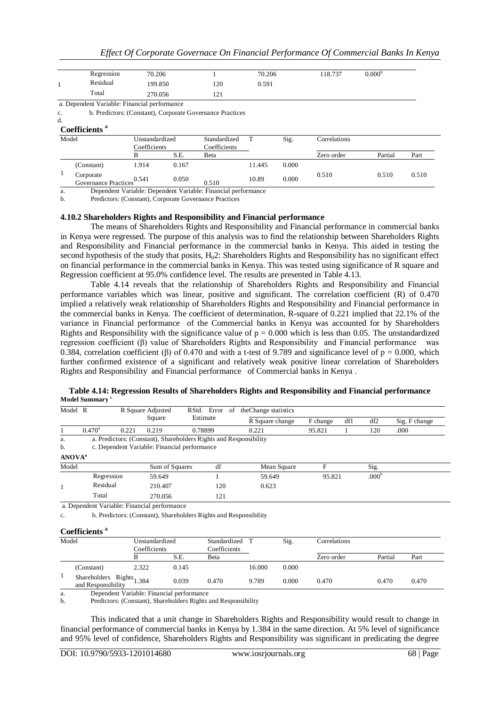|  |  |  | Effect Of Corporate Governace On Financial Performance Of Commercial Banks In Kenya |  |  |  |  |  |  |  |  |  |  |  |
|--|--|--|-------------------------------------------------------------------------------------|--|--|--|--|--|--|--|--|--|--|--|
|--|--|--|-------------------------------------------------------------------------------------|--|--|--|--|--|--|--|--|--|--|--|

| Regression | 70.206  |                      | 70.206 | 118.737 | $0.000^{b}$ |  |
|------------|---------|----------------------|--------|---------|-------------|--|
| Residual   | 199.850 | 120                  | 0.591  |         |             |  |
| Total      | 270.056 | $\sim$<br>$\sqrt{1}$ |        |         |             |  |

a. Dependent Variable: Financial performance

c. b. Predictors: (Constant), Corporate Governance Practices

#### d. **Coefficients** *a*

|  |  |  | Coemicients |  |
|--|--|--|-------------|--|
|  |  |  |             |  |

| Model |                                   | Unstandardized<br>Coefficients |       | Standardized<br>Coefficients |        | Sig.  | Correlations |         |       |
|-------|-----------------------------------|--------------------------------|-------|------------------------------|--------|-------|--------------|---------|-------|
|       |                                   |                                | S.E.  | Beta                         |        |       | Zero order   | Partial | Part  |
|       | (Constant)                        | 914.                           | 0.167 |                              | 11.445 | 0.000 |              |         |       |
|       | Corporate<br>Governance Practices | 0.541                          | 0.050 | 0.510                        | 10.89  | 0.000 | 0.510        | 0.510   | 0.510 |

a. Dependent Variable: Dependent Variable: Financial performance

b. Predictors: (Constant), Corporate Governance Practices

## **4.10.2 Shareholders Rights and Responsibility and Financial performance**

The means of Shareholders Rights and Responsibility and Financial performance in commercial banks in Kenya were regressed. The purpose of this analysis was to find the relationship between Shareholders Rights and Responsibility and Financial performance in the commercial banks in Kenya. This aided in testing the second hypothesis of the study that posits,  $H<sub>0</sub>2$ : Shareholders Rights and Responsibility has no significant effect on financial performance in the commercial banks in Kenya. This was tested using significance of R square and Regression coefficient at 95.0% confidence level. The results are presented in Table 4.13.

Table 4.14 reveals that the relationship of Shareholders Rights and Responsibility and Financial performance variables which was linear, positive and significant. The correlation coefficient (R) of 0.470 implied a relatively weak relationship of Shareholders Rights and Responsibility and Financial performance in the commercial banks in Kenya. The coefficient of determination, R-square of 0.221 implied that 22.1% of the variance in Financial performance of the Commercial banks in Kenya was accounted for by Shareholders Rights and Responsibility with the significance value of  $p = 0.000$  which is less than 0.05. The unstandardized regression coefficient (β) value of Shareholders Rights and Responsibility and Financial performance was 0.384, correlation coefficient (β) of 0.470 and with a t-test of 9.789 and significance level of  $p = 0.000$ , which further confirmed existence of a significant and relatively weak positive linear correlation of Shareholders Rights and Responsibility and Financial performance of Commercial banks in Kenya .

| Model R                   |                 |       | R Square Adjusted                                                                                                 | RStd.    | Error<br>-of | the Change statistics |          |     |                   |               |
|---------------------------|-----------------|-------|-------------------------------------------------------------------------------------------------------------------|----------|--------------|-----------------------|----------|-----|-------------------|---------------|
|                           |                 |       | Square                                                                                                            | Estimate |              | R Square change       | F change | df1 | df2               | Sig. F change |
|                           | $0.470^{\rm a}$ | 0.221 | 0.219                                                                                                             | 0.78899  |              | 0.221                 | 95.821   |     | 120               | .000          |
| a.<br>b.                  |                 |       | a. Predictors: (Constant), Shareholders Rights and Responsibility<br>c. Dependent Variable: Financial performance |          |              |                       |          |     |                   |               |
| <b>ANOVA</b> <sup>a</sup> |                 |       |                                                                                                                   |          |              |                       |          |     |                   |               |
| Model                     |                 |       | Sum of Squares                                                                                                    |          | df           | Mean Square           | F        |     | Sig.              |               |
|                           | Regression      |       | 59.649                                                                                                            |          |              | 59.649                | 95.821   |     | .000 <sup>b</sup> |               |
|                           | Residual        |       | 210.407                                                                                                           |          | 120          | 0.623                 |          |     |                   |               |
|                           | Total           |       | 270.056                                                                                                           |          | 121          |                       |          |     |                   |               |

#### **Table 4.14: Regression Results of Shareholders Rights and Responsibility and Financial performance Model Summary <sup>c</sup>**

a. Dependent Variable: Financial performance

c. b. Predictors: (Constant), Shareholders Rights and Responsibility

#### **Coefficients <sup>a</sup>**

| Model |                                                   | Unstandardized<br>Coefficients |       | Standardized<br>Coefficients |        | Sig.  | Correlations |         |       |
|-------|---------------------------------------------------|--------------------------------|-------|------------------------------|--------|-------|--------------|---------|-------|
|       |                                                   |                                | S.E.  | Beta                         |        |       | Zero order   | Partial | Part  |
|       | (Constant)                                        | 2.322                          | 0.145 |                              | 16.000 | 0.000 |              |         |       |
|       | Shareholders Rights $1.384$<br>and Responsibility |                                | 0.039 | 0.470                        | 9.789  | 0.000 | 0.470        | 0.470   | 0.470 |

a. Dependent Variable: Financial performance

b. Predictors: (Constant), Shareholders Rights and Responsibility

This indicated that a unit change in Shareholders Rights and Responsibility would result to change in financial performance of commercial banks in Kenya by 1.384 in the same direction. At 5% level of significance and 95% level of confidence, Shareholders Rights and Responsibility was significant in predicating the degree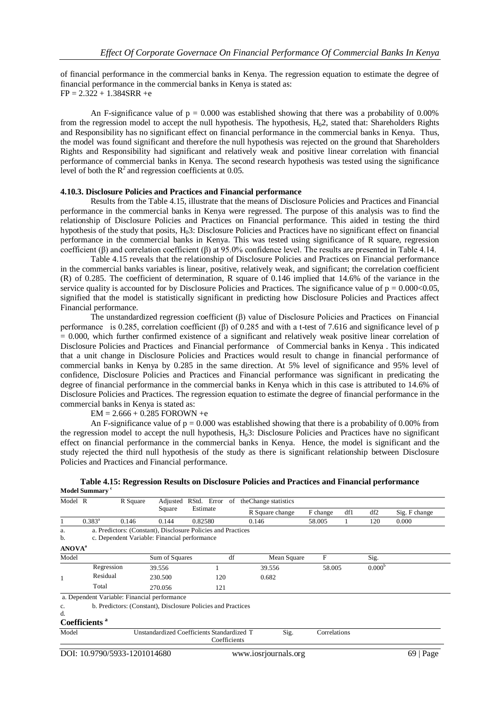of financial performance in the commercial banks in Kenya. The regression equation to estimate the degree of financial performance in the commercial banks in Kenya is stated as:  $FP = 2.322 + 1.384SRR +e$ 

An F-significance value of  $p = 0.000$  was established showing that there was a probability of 0.00% from the regression model to accept the null hypothesis. The hypothesis, H<sub>0</sub>2, stated that: Shareholders Rights and Responsibility has no significant effect on financial performance in the commercial banks in Kenya. Thus, the model was found significant and therefore the null hypothesis was rejected on the ground that Shareholders Rights and Responsibility had significant and relatively weak and positive linear correlation with financial performance of commercial banks in Kenya. The second research hypothesis was tested using the significance level of both the  $R^2$  and regression coefficients at 0.05.

#### **4.10.3. Disclosure Policies and Practices and Financial performance**

Results from the Table 4.15, illustrate that the means of Disclosure Policies and Practices and Financial performance in the commercial banks in Kenya were regressed. The purpose of this analysis was to find the relationship of Disclosure Policies and Practices on Financial performance. This aided in testing the third hypothesis of the study that posits,  $H<sub>0</sub>3$ : Disclosure Policies and Practices have no significant effect on financial performance in the commercial banks in Kenya. This was tested using significance of R square, regression coefficient (β) and correlation coefficient (β) at 95.0% confidence level. The results are presented in Table 4.14.

Table 4.15 reveals that the relationship of Disclosure Policies and Practices on Financial performance in the commercial banks variables is linear, positive, relatively weak, and significant; the correlation coefficient (R) of 0.285. The coefficient of determination, R square of 0.146 implied that 14.6% of the variance in the service quality is accounted for by Disclosure Policies and Practices. The significance value of  $p = 0.000<0.05$ , signified that the model is statistically significant in predicting how Disclosure Policies and Practices affect Financial performance.

The unstandardized regression coefficient (β) value of Disclosure Policies and Practices on Financial performance is 0.285, correlation coefficient (β) of 0.285 and with a t-test of 7.616 and significance level of p  $= 0.000$ , which further confirmed existence of a significant and relatively weak positive linear correlation of Disclosure Policies and Practices and Financial performance of Commercial banks in Kenya . This indicated that a unit change in Disclosure Policies and Practices would result to change in financial performance of commercial banks in Kenya by 0.285 in the same direction. At 5% level of significance and 95% level of confidence, Disclosure Policies and Practices and Financial performance was significant in predicating the degree of financial performance in the commercial banks in Kenya which in this case is attributed to 14.6% of Disclosure Policies and Practices. The regression equation to estimate the degree of financial performance in the commercial banks in Kenya is stated as:

 $EM = 2.666 + 0.285$  FOROWN +e

An F-significance value of  $p = 0.000$  was established showing that there is a probability of 0.00% from the regression model to accept the null hypothesis, H03: Disclosure Policies and Practices have no significant effect on financial performance in the commercial banks in Kenya. Hence, the model is significant and the study rejected the third null hypothesis of the study as there is significant relationship between Disclosure Policies and Practices and Financial performance.

| Model R                   |                           | R Square                                     | Adjusted       | RStd. Error                                                  | of           | the Change statistics |              |     |                    |               |
|---------------------------|---------------------------|----------------------------------------------|----------------|--------------------------------------------------------------|--------------|-----------------------|--------------|-----|--------------------|---------------|
|                           |                           |                                              | Square         | Estimate                                                     |              | R Square change       | F change     | df1 | df2                | Sig. F change |
|                           | $0.383^a$                 | 0.146                                        | 0.144          | 0.82580                                                      |              | 0.146                 | 58,005       |     | 120                | 0.000         |
| a.<br>b.                  |                           | c. Dependent Variable: Financial performance |                | a. Predictors: (Constant), Disclosure Policies and Practices |              |                       |              |     |                    |               |
| <b>ANOVA</b> <sup>a</sup> |                           |                                              |                |                                                              |              |                       |              |     |                    |               |
| Model                     |                           |                                              | Sum of Squares |                                                              | df           | Mean Square           | F            |     | Sig.               |               |
|                           | Regression                |                                              | 39.556         |                                                              |              | 39.556                | 58.005       |     | 0.000 <sup>b</sup> |               |
| 1                         | Residual                  |                                              | 230.500        | 120                                                          |              | 0.682                 |              |     |                    |               |
|                           | Total                     |                                              | 270.056        | 121                                                          |              |                       |              |     |                    |               |
|                           |                           | a. Dependent Variable: Financial performance |                |                                                              |              |                       |              |     |                    |               |
| c.<br>d.                  | Coefficients <sup>a</sup> |                                              |                | b. Predictors: (Constant), Disclosure Policies and Practices |              |                       |              |     |                    |               |
|                           |                           |                                              |                |                                                              |              |                       |              |     |                    |               |
| Model                     |                           |                                              |                | Unstandardized Coefficients Standardized T                   | Coefficients | Sig.                  | Correlations |     |                    |               |

|                          |  |  | Table 4.15: Regression Results on Disclosure Policies and Practices and Financial performance |  |
|--------------------------|--|--|-----------------------------------------------------------------------------------------------|--|
| del Summarv <sup>c</sup> |  |  |                                                                                               |  |

**Mo**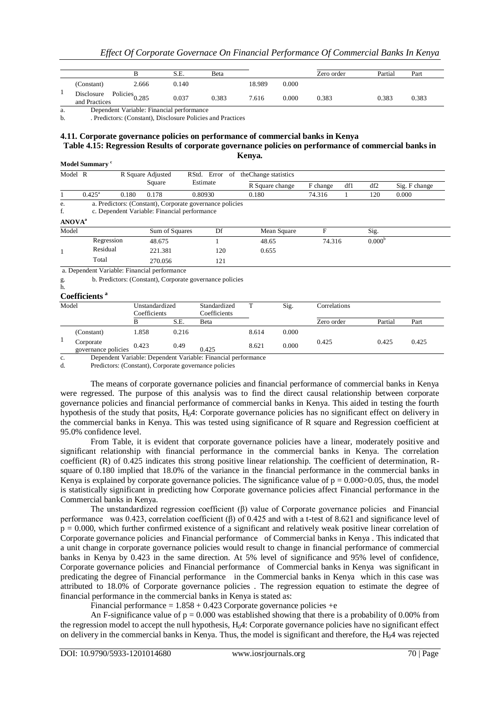|                             |                           | S.E.  | Beta  |        |       | Zero order | Partial | Part  |
|-----------------------------|---------------------------|-------|-------|--------|-------|------------|---------|-------|
| (Constant)                  | 2.666                     | 0.140 |       | 18.989 | 0.000 |            |         |       |
| Disclosure<br>and Practices | Policies <sub>0.285</sub> | 0.037 | 0.383 | 7.616  | 0.000 | 0.383      | 0.383   | 0.383 |

a. Dependent Variable: Financial performance

b. . Predictors: (Constant), Disclosure Policies and Practices

#### **4.11. Corporate governance policies on performance of commercial banks in Kenya Table 4.15: Regression Results of corporate governance policies on performance of commercial banks in Kenya.**

**Model Summary <sup>c</sup>** Model R **R** Square Adjusted Square RStd. Error Estimate of the Change statistics R Square change F change df1 df2 Sig. F change  $0.425^{\circ}$ 0.180 0.178 0.80930 0.180 74.316 1 120 0.000 e. a. Predictors: (Constant), Corporate governance policies f. c. Dependent Variable: Financial performance c. Dependent Variable: Financial performance **ANOVA<sup>a</sup>** Model Sum of Squares Df Mean Square F Sig. 1 Regression  $48.675$  1  $48.65$  74.316  $0.000^{b}$ Residual 221.381 120 0.655 Total 270.056 121 a. Dependent Variable: Financial performance g. b. Predictors: (Constant), Corporate governance policies h. **Coefficients <sup>a</sup>** Model Unstandardized Coefficients Standardized Coefficients T Sig. Correlations B S.E. Beta Zero order Partial Part 1 (Constant) 1.858 0.216 8.614 0.000 Corporate Corporate 0.423 0.49 0.425 8.621 0.000 0.425 0.425 0.425 0.425

c. Dependent Variable: Dependent Variable: Financial performance

d. Predictors: (Constant), Corporate governance policies

The means of corporate governance policies and financial performance of commercial banks in Kenya were regressed. The purpose of this analysis was to find the direct causal relationship between corporate governance policies and financial performance of commercial banks in Kenya. This aided in testing the fourth hypothesis of the study that posits, H<sub>0</sub>4: Corporate governance policies has no significant effect on delivery in the commercial banks in Kenya. This was tested using significance of R square and Regression coefficient at 95.0% confidence level.

From Table, it is evident that corporate governance policies have a linear, moderately positive and significant relationship with financial performance in the commercial banks in Kenya. The correlation coefficient (R) of 0.425 indicates this strong positive linear relationship. The coefficient of determination, Rsquare of 0.180 implied that 18.0% of the variance in the financial performance in the commercial banks in Kenya is explained by corporate governance policies. The significance value of  $p = 0.000 > 0.05$ , thus, the model is statistically significant in predicting how Corporate governance policies affect Financial performance in the Commercial banks in Kenya.

The unstandardized regression coefficient (β) value of Corporate governance policies and Financial performance was 0.423, correlation coefficient (β) of 0.425 and with a t-test of 8.621 and significance level of  $p = 0.000$ , which further confirmed existence of a significant and relatively weak positive linear correlation of Corporate governance policies and Financial performance of Commercial banks in Kenya . This indicated that a unit change in corporate governance policies would result to change in financial performance of commercial banks in Kenya by 0.423 in the same direction. At 5% level of significance and 95% level of confidence, Corporate governance policies and Financial performance of Commercial banks in Kenya was significant in predicating the degree of Financial performance in the Commercial banks in Kenya which in this case was attributed to 18.0% of Corporate governance policies . The regression equation to estimate the degree of financial performance in the commercial banks in Kenya is stated as:

Financial performance =  $1.858 + 0.423$  Corporate governance policies +e

An F-significance value of  $p = 0.000$  was established showing that there is a probability of 0.00% from the regression model to accept the null hypothesis,  $H<sub>0</sub>4$ : Corporate governance policies have no significant effect on delivery in the commercial banks in Kenya. Thus, the model is significant and therefore, the H04 was rejected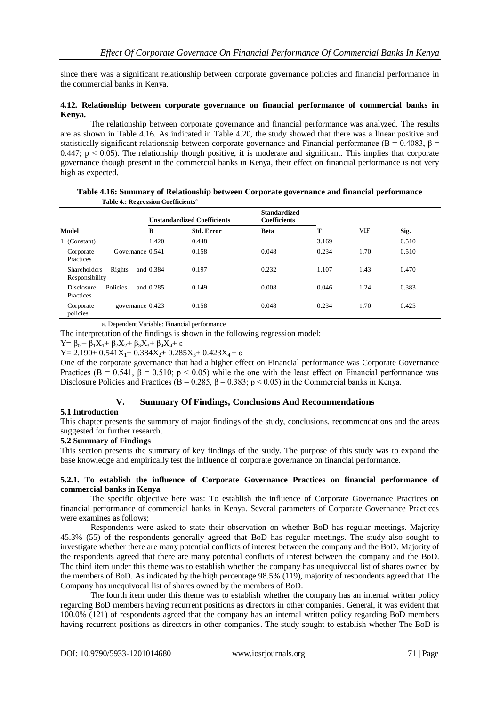since there was a significant relationship between corporate governance policies and financial performance in the commercial banks in Kenya.

#### **4.12. Relationship between corporate governance on financial performance of commercial banks in Kenya.**

The relationship between corporate governance and financial performance was analyzed. The results are as shown in Table 4.16. As indicated in Table 4.20, the study showed that there was a linear positive and statistically significant relationship between corporate governance and Financial performance ( $B = 0.4083$ ,  $B = 0.4083$ )  $0.447$ ;  $p < 0.05$ ). The relationship though positive, it is moderate and significant. This implies that corporate governance though present in the commercial banks in Kenya, their effect on financial performance is not very high as expected.

|                                                   |                  | <b>Unstandardized Coefficients</b> | <b>Standardized</b><br><b>Coefficients</b> |       |      |       |
|---------------------------------------------------|------------------|------------------------------------|--------------------------------------------|-------|------|-------|
| Model                                             | в                | <b>Std. Error</b>                  | <b>Beta</b>                                | т     | VIF  | Sig.  |
| 1 (Constant)                                      | 1.420            | 0.448                              |                                            | 3.169 |      | 0.510 |
| Corporate<br>Practices                            | Governance 0.541 | 0.158                              | 0.048                                      | 0.234 | 1.70 | 0.510 |
| Rights<br><b>Shareholders</b><br>Responsibility   | and 0.384        | 0.197                              | 0.232                                      | 1.107 | 1.43 | 0.470 |
| <b>Policies</b><br><b>Disclosure</b><br>Practices | and 0.285        | 0.149                              | 0.008                                      | 0.046 | 1.24 | 0.383 |
| Corporate<br>policies                             | governance 0.423 | 0.158                              | 0.048                                      | 0.234 | 1.70 | 0.425 |

**Table 4.16: Summary of Relationship between Corporate governance and financial performance Table 4.: Regression Coefficients<sup>a</sup>**

a. Dependent Variable: Financial performance

The interpretation of the findings is shown in the following regression model:

 $Y = \beta_0 + \beta_1 X_1 + \beta_2 X_2 + \beta_3 X_3 + \beta_4 X_4 + \varepsilon$ 

Y = 2.190+  $0.541X_1$ +  $0.384X_2$ +  $0.285X_3$ +  $0.423X_4$  + ε

One of the corporate governance that had a higher effect on Financial performance was Corporate Governance Practices ( $B = 0.541$ ,  $\beta = 0.510$ ;  $p < 0.05$ ) while the one with the least effect on Financial performance was Disclosure Policies and Practices ( $B = 0.285$ ,  $B = 0.383$ ; p < 0.05) in the Commercial banks in Kenya.

## **V. Summary Of Findings, Conclusions And Recommendations**

## **5.1 Introduction**

This chapter presents the summary of major findings of the study, conclusions, recommendations and the areas suggested for further research.

#### **5.2 Summary of Findings**

This section presents the summary of key findings of the study. The purpose of this study was to expand the base knowledge and empirically test the influence of corporate governance on financial performance.

#### **5.2.1. To establish the influence of Corporate Governance Practices on financial performance of commercial banks in Kenya**

The specific objective here was: To establish the influence of Corporate Governance Practices on financial performance of commercial banks in Kenya. Several parameters of Corporate Governance Practices were examines as follows;

Respondents were asked to state their observation on whether BoD has regular meetings. Majority 45.3% (55) of the respondents generally agreed that BoD has regular meetings. The study also sought to investigate whether there are many potential conflicts of interest between the company and the BoD. Majority of the respondents agreed that there are many potential conflicts of interest between the company and the BoD. The third item under this theme was to establish whether the company has unequivocal list of shares owned by the members of BoD. As indicated by the high percentage 98.5% (119), majority of respondents agreed that The Company has unequivocal list of shares owned by the members of BoD.

The fourth item under this theme was to establish whether the company has an internal written policy regarding BoD members having recurrent positions as directors in other companies. General, it was evident that 100.0% (121) of respondents agreed that the company has an internal written policy regarding BoD members having recurrent positions as directors in other companies. The study sought to establish whether The BoD is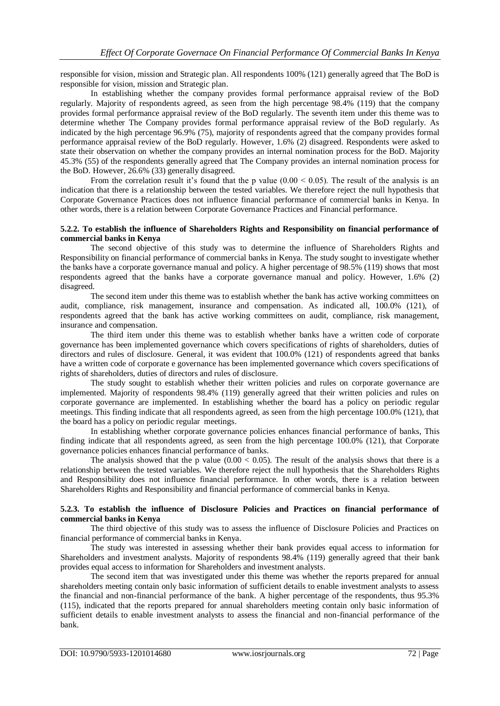responsible for vision, mission and Strategic plan. All respondents 100% (121) generally agreed that The BoD is responsible for vision, mission and Strategic plan.

In establishing whether the company provides formal performance appraisal review of the BoD regularly. Majority of respondents agreed, as seen from the high percentage 98.4% (119) that the company provides formal performance appraisal review of the BoD regularly. The seventh item under this theme was to determine whether The Company provides formal performance appraisal review of the BoD regularly. As indicated by the high percentage 96.9% (75), majority of respondents agreed that the company provides formal performance appraisal review of the BoD regularly. However, 1.6% (2) disagreed. Respondents were asked to state their observation on whether the company provides an internal nomination process for the BoD. Majority 45.3% (55) of the respondents generally agreed that The Company provides an internal nomination process for the BoD. However, 26.6% (33) generally disagreed.

From the correlation result it's found that the p value  $(0.00 \le 0.05)$ . The result of the analysis is an indication that there is a relationship between the tested variables. We therefore reject the null hypothesis that Corporate Governance Practices does not influence financial performance of commercial banks in Kenya. In other words, there is a relation between Corporate Governance Practices and Financial performance.

#### **5.2.2. To establish the influence of Shareholders Rights and Responsibility on financial performance of commercial banks in Kenya**

The second objective of this study was to determine the influence of Shareholders Rights and Responsibility on financial performance of commercial banks in Kenya. The study sought to investigate whether the banks have a corporate governance manual and policy. A higher percentage of 98.5% (119) shows that most respondents agreed that the banks have a corporate governance manual and policy. However, 1.6% (2) disagreed.

The second item under this theme was to establish whether the bank has active working committees on audit, compliance, risk management, insurance and compensation. As indicated all, 100.0% (121), of respondents agreed that the bank has active working committees on audit, compliance, risk management, insurance and compensation.

The third item under this theme was to establish whether banks have a written code of corporate governance has been implemented governance which covers specifications of rights of shareholders, duties of directors and rules of disclosure. General, it was evident that 100.0% (121) of respondents agreed that banks have a written code of corporate e governance has been implemented governance which covers specifications of rights of shareholders, duties of directors and rules of disclosure.

The study sought to establish whether their written policies and rules on corporate governance are implemented. Majority of respondents 98.4% (119) generally agreed that their written policies and rules on corporate governance are implemented. In establishing whether the board has a policy on periodic regular meetings. This finding indicate that all respondents agreed, as seen from the high percentage 100.0% (121), that the board has a policy on periodic regular meetings.

In establishing whether corporate governance policies enhances financial performance of banks, This finding indicate that all respondents agreed, as seen from the high percentage 100.0% (121), that Corporate governance policies enhances financial performance of banks.

The analysis showed that the p value  $(0.00 < 0.05)$ . The result of the analysis shows that there is a relationship between the tested variables. We therefore reject the null hypothesis that the Shareholders Rights and Responsibility does not influence financial performance. In other words, there is a relation between Shareholders Rights and Responsibility and financial performance of commercial banks in Kenya.

#### **5.2.3. To establish the influence of Disclosure Policies and Practices on financial performance of commercial banks in Kenya**

The third objective of this study was to assess the influence of Disclosure Policies and Practices on financial performance of commercial banks in Kenya.

The study was interested in assessing whether their bank provides equal access to information for Shareholders and investment analysts. Majority of respondents 98.4% (119) generally agreed that their bank provides equal access to information for Shareholders and investment analysts.

The second item that was investigated under this theme was whether the reports prepared for annual shareholders meeting contain only basic information of sufficient details to enable investment analysts to assess the financial and non-financial performance of the bank. A higher percentage of the respondents, thus 95.3% (115), indicated that the reports prepared for annual shareholders meeting contain only basic information of sufficient details to enable investment analysts to assess the financial and non-financial performance of the bank.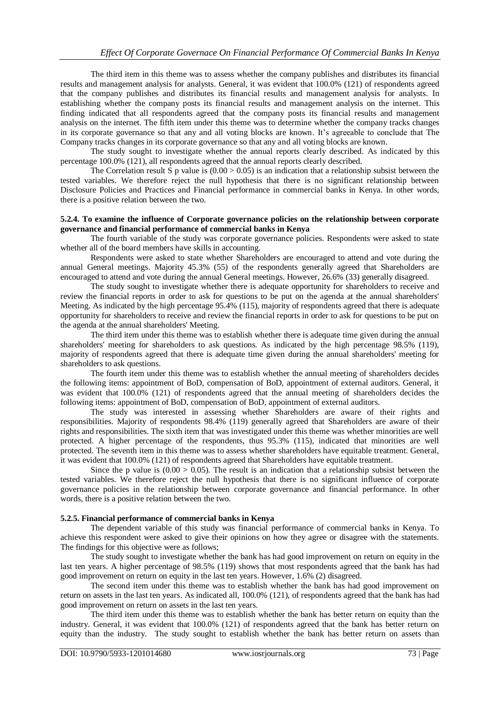The third item in this theme was to assess whether the company publishes and distributes its financial results and management analysis for analysts. General, it was evident that 100.0% (121) of respondents agreed that the company publishes and distributes its financial results and management analysis for analysts. In establishing whether the company posts its financial results and management analysis on the internet. This finding indicated that all respondents agreed that the company posts its financial results and management analysis on the internet. The fifth item under this theme was to determine whether the company tracks changes in its corporate governance so that any and all voting blocks are known. It's agreeable to conclude that The Company tracks changes in its corporate governance so that any and all voting blocks are known.

The study sought to investigate whether the annual reports clearly described. As indicated by this percentage 100.0% (121), all respondents agreed that the annual reports clearly described.

The Correlation result  $\hat{S}$  p value is (0.00 > 0.05) is an indication that a relationship subsist between the tested variables. We therefore reject the null hypothesis that there is no significant relationship between Disclosure Policies and Practices and Financial performance in commercial banks in Kenya. In other words, there is a positive relation between the two.

#### **5.2.4. To examine the influence of Corporate governance policies on the relationship between corporate governance and financial performance of commercial banks in Kenya**

The fourth variable of the study was corporate governance policies. Respondents were asked to state whether all of the board members have skills in accounting.

Respondents were asked to state whether Shareholders are encouraged to attend and vote during the annual General meetings. Majority 45.3% (55) of the respondents generally agreed that Shareholders are encouraged to attend and vote during the annual General meetings. However, 26.6% (33) generally disagreed.

The study sought to investigate whether there is adequate opportunity for shareholders to receive and review the financial reports in order to ask for questions to be put on the agenda at the annual shareholders' Meeting. As indicated by the high percentage 95.4% (115), majority of respondents agreed that there is adequate opportunity for shareholders to receive and review the financial reports in order to ask for questions to be put on the agenda at the annual shareholders' Meeting.

The third item under this theme was to establish whether there is adequate time given during the annual shareholders' meeting for shareholders to ask questions. As indicated by the high percentage 98.5% (119), majority of respondents agreed that there is adequate time given during the annual shareholders' meeting for shareholders to ask questions.

The fourth item under this theme was to establish whether the annual meeting of shareholders decides the following items: appointment of BoD, compensation of BoD, appointment of external auditors. General, it was evident that 100.0% (121) of respondents agreed that the annual meeting of shareholders decides the following items: appointment of BoD, compensation of BoD, appointment of external auditors.

The study was interested in assessing whether Shareholders are aware of their rights and responsibilities. Majority of respondents 98.4% (119) generally agreed that Shareholders are aware of their rights and responsibilities. The sixth item that was investigated under this theme was whether minorities are well protected. A higher percentage of the respondents, thus 95.3% (115), indicated that minorities are well protected. The seventh item in this theme was to assess whether shareholders have equitable treatment. General, it was evident that 100.0% (121) of respondents agreed that Shareholders have equitable treatment.

Since the p value is  $(0.00 > 0.05)$ . The result is an indication that a relationship subsist between the tested variables. We therefore reject the null hypothesis that there is no significant influence of corporate governance policies in the relationship between corporate governance and financial performance. In other words, there is a positive relation between the two.

#### **5.2.5. Financial performance of commercial banks in Kenya**

The dependent variable of this study was financial performance of commercial banks in Kenya. To achieve this respondent were asked to give their opinions on how they agree or disagree with the statements. The findings for this objective were as follows;

The study sought to investigate whether the bank has had good improvement on return on equity in the last ten years. A higher percentage of 98.5% (119) shows that most respondents agreed that the bank has had good improvement on return on equity in the last ten years. However, 1.6% (2) disagreed.

The second item under this theme was to establish whether the bank has had good improvement on return on assets in the last ten years. As indicated all, 100.0% (121), of respondents agreed that the bank has had good improvement on return on assets in the last ten years.

The third item under this theme was to establish whether the bank has better return on equity than the industry. General, it was evident that 100.0% (121) of respondents agreed that the bank has better return on equity than the industry. The study sought to establish whether the bank has better return on assets than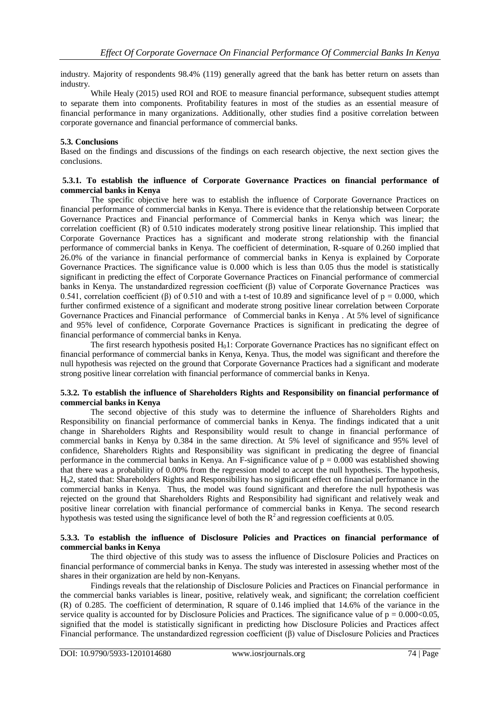industry. Majority of respondents 98.4% (119) generally agreed that the bank has better return on assets than industry.

While Healy (2015) used ROI and ROE to measure financial performance, subsequent studies attempt to separate them into components. Profitability features in most of the studies as an essential measure of financial performance in many organizations. Additionally, other studies find a positive correlation between corporate governance and financial performance of commercial banks.

## **5.3. Conclusions**

Based on the findings and discussions of the findings on each research objective, the next section gives the conclusions.

#### **5.3.1. To establish the influence of Corporate Governance Practices on financial performance of commercial banks in Kenya**

The specific objective here was to establish the influence of Corporate Governance Practices on financial performance of commercial banks in Kenya. There is evidence that the relationship between Corporate Governance Practices and Financial performance of Commercial banks in Kenya which was linear; the correlation coefficient (R) of 0.510 indicates moderately strong positive linear relationship. This implied that Corporate Governance Practices has a significant and moderate strong relationship with the financial performance of commercial banks in Kenya. The coefficient of determination, R-square of 0.260 implied that 26.0% of the variance in financial performance of commercial banks in Kenya is explained by Corporate Governance Practices. The significance value is 0.000 which is less than 0.05 thus the model is statistically significant in predicting the effect of Corporate Governance Practices on Financial performance of commercial banks in Kenya. The unstandardized regression coefficient (β) value of Corporate Governance Practices was 0.541, correlation coefficient (β) of 0.510 and with a t-test of 10.89 and significance level of  $p = 0.000$ , which further confirmed existence of a significant and moderate strong positive linear correlation between Corporate Governance Practices and Financial performance of Commercial banks in Kenya . At 5% level of significance and 95% level of confidence, Corporate Governance Practices is significant in predicating the degree of financial performance of commercial banks in Kenya.

The first research hypothesis posited  $H_01$ : Corporate Governance Practices has no significant effect on financial performance of commercial banks in Kenya, Kenya. Thus, the model was significant and therefore the null hypothesis was rejected on the ground that Corporate Governance Practices had a significant and moderate strong positive linear correlation with financial performance of commercial banks in Kenya.

#### **5.3.2. To establish the influence of Shareholders Rights and Responsibility on financial performance of commercial banks in Kenya**

The second objective of this study was to determine the influence of Shareholders Rights and Responsibility on financial performance of commercial banks in Kenya. The findings indicated that a unit change in Shareholders Rights and Responsibility would result to change in financial performance of commercial banks in Kenya by 0.384 in the same direction. At 5% level of significance and 95% level of confidence, Shareholders Rights and Responsibility was significant in predicating the degree of financial performance in the commercial banks in Kenya. An F-significance value of  $p = 0.000$  was established showing that there was a probability of 0.00% from the regression model to accept the null hypothesis. The hypothesis, H02, stated that: Shareholders Rights and Responsibility has no significant effect on financial performance in the commercial banks in Kenya. Thus, the model was found significant and therefore the null hypothesis was rejected on the ground that Shareholders Rights and Responsibility had significant and relatively weak and positive linear correlation with financial performance of commercial banks in Kenya. The second research hypothesis was tested using the significance level of both the  $R^2$  and regression coefficients at 0.05.

#### **5.3.3. To establish the influence of Disclosure Policies and Practices on financial performance of commercial banks in Kenya**

The third objective of this study was to assess the influence of Disclosure Policies and Practices on financial performance of commercial banks in Kenya. The study was interested in assessing whether most of the shares in their organization are held by non-Kenyans.

Findings reveals that the relationship of Disclosure Policies and Practices on Financial performance in the commercial banks variables is linear, positive, relatively weak, and significant; the correlation coefficient (R) of 0.285. The coefficient of determination, R square of 0.146 implied that 14.6% of the variance in the service quality is accounted for by Disclosure Policies and Practices. The significance value of  $p = 0.000<0.05$ , signified that the model is statistically significant in predicting how Disclosure Policies and Practices affect Financial performance. The unstandardized regression coefficient (β) value of Disclosure Policies and Practices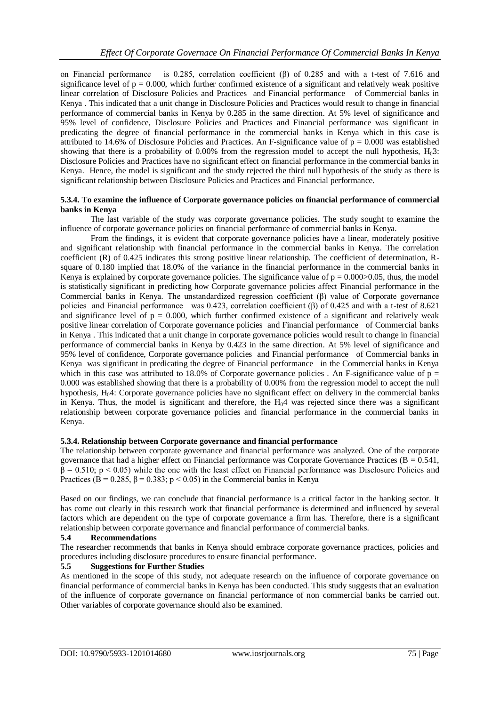on Financial performance is 0.285, correlation coefficient (β) of 0.285 and with a t-test of 7.616 and significance level of  $p = 0.000$ , which further confirmed existence of a significant and relatively weak positive linear correlation of Disclosure Policies and Practices and Financial performance of Commercial banks in Kenya . This indicated that a unit change in Disclosure Policies and Practices would result to change in financial performance of commercial banks in Kenya by 0.285 in the same direction. At 5% level of significance and 95% level of confidence, Disclosure Policies and Practices and Financial performance was significant in predicating the degree of financial performance in the commercial banks in Kenya which in this case is attributed to 14.6% of Disclosure Policies and Practices. An F-significance value of  $p = 0.000$  was established showing that there is a probability of 0.00% from the regression model to accept the null hypothesis,  $H_03$ : Disclosure Policies and Practices have no significant effect on financial performance in the commercial banks in Kenya. Hence, the model is significant and the study rejected the third null hypothesis of the study as there is significant relationship between Disclosure Policies and Practices and Financial performance.

#### **5.3.4. To examine the influence of Corporate governance policies on financial performance of commercial banks in Kenya**

The last variable of the study was corporate governance policies. The study sought to examine the influence of corporate governance policies on financial performance of commercial banks in Kenya.

From the findings, it is evident that corporate governance policies have a linear, moderately positive and significant relationship with financial performance in the commercial banks in Kenya. The correlation coefficient (R) of 0.425 indicates this strong positive linear relationship. The coefficient of determination, Rsquare of 0.180 implied that 18.0% of the variance in the financial performance in the commercial banks in Kenya is explained by corporate governance policies. The significance value of  $p = 0.000 > 0.05$ , thus, the model is statistically significant in predicting how Corporate governance policies affect Financial performance in the Commercial banks in Kenya. The unstandardized regression coefficient (β) value of Corporate governance policies and Financial performance was 0.423, correlation coefficient (β) of 0.425 and with a t-test of 8.621 and significance level of  $p = 0.000$ , which further confirmed existence of a significant and relatively weak positive linear correlation of Corporate governance policies and Financial performance of Commercial banks in Kenya . This indicated that a unit change in corporate governance policies would result to change in financial performance of commercial banks in Kenya by 0.423 in the same direction. At 5% level of significance and 95% level of confidence, Corporate governance policies and Financial performance of Commercial banks in Kenya was significant in predicating the degree of Financial performance in the Commercial banks in Kenya which in this case was attributed to 18.0% of Corporate governance policies. An F-significance value of  $p =$ 0.000 was established showing that there is a probability of 0.00% from the regression model to accept the null hypothesis, H04: Corporate governance policies have no significant effect on delivery in the commercial banks in Kenya. Thus, the model is significant and therefore, the  $H_04$  was rejected since there was a significant relationship between corporate governance policies and financial performance in the commercial banks in Kenya.

#### **5.3.4. Relationship between Corporate governance and financial performance**

The relationship between corporate governance and financial performance was analyzed. One of the corporate governance that had a higher effect on Financial performance was Corporate Governance Practices ( $B = 0.541$ ,  $β = 0.510$ ;  $p < 0.05$ ) while the one with the least effect on Financial performance was Disclosure Policies and Practices (B = 0.285,  $\beta$  = 0.383; p < 0.05) in the Commercial banks in Kenya

Based on our findings, we can conclude that financial performance is a critical factor in the banking sector. It has come out clearly in this research work that financial performance is determined and influenced by several factors which are dependent on the type of corporate governance a firm has. Therefore, there is a significant relationship between corporate governance and financial performance of commercial banks.

## **5.4 Recommendations**

The researcher recommends that banks in Kenya should embrace corporate governance practices, policies and procedures including disclosure procedures to ensure financial performance.

## **5.5 Suggestions for Further Studies**

As mentioned in the scope of this study, not adequate research on the influence of corporate governance on financial performance of commercial banks in Kenya has been conducted. This study suggests that an evaluation of the influence of corporate governance on financial performance of non commercial banks be carried out. Other variables of corporate governance should also be examined.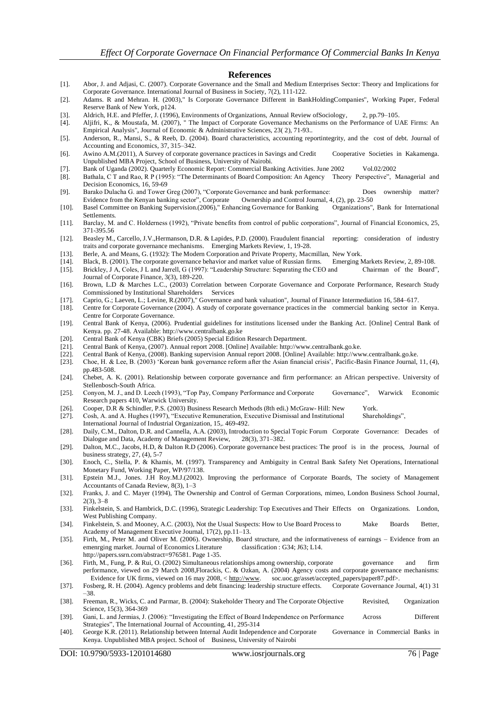#### **References**

- [1]. Abor, J. and Adjasi, C. (2007). Corporate Governance and the Small and Medium Enterprises Sector: Theory and Implications for Corporate Governance. International Journal of Business in Society, 7(2), 111-122.
- [2]. Adams. R and Mehran. H. (2003)," Is Corporate Governance Different in BankHoldingCompanies", Working Paper, Federal Reserve Bank of New York, p124.
- [3]. Aldrich, H.E. and Pfeffer, J. (1996), Environments of Organizations, Annual Review ofSociology, 2, pp.79–105.
- [4]. Aljifri, K., & Moustafa, M. (2007), " The Impact of Corporate Governance Mechanisms on the Performance of UAE Firms: An Empirical Analysis", Journal of Economic & Administrative Sciences, 23( 2), 71-93..
- [5]. Anderson, R., Mansi, S., & Reeb, D. (2004). Board characteristics, accounting reportintegrity, and the cost of debt. Journal of Accounting and Economics, 37, 315–342.
- [6]. Awino A.M.(2011), A Survey of corporate governance practices in Savings and Credit Cooperative Societies in Kakamenga. Unpublished MBA Project, School of Business, University of Nairobi.
- [7]. Bank of Uganda (2002). Quarterly Economic Report: Commercial Banking Activities. June 2002 Vol.02/2002
- [8]. Bathala, C T and Rao, R P (1995): "The Determinants of Board Composition: An Agency Theory Perspective", Managerial and Decision Economics, 16, 59-69
- [9]. Barako Dulacha G. and Tower Greg (2007), "Corporate Governance and bank performance: Does ownership matter?
- Evidence from the Kenyan banking sector", Corporate Ownership and Control Journal, 4, (2), pp. 23-50<br>Basel Committee on Banking Supervision.(2006)," Enhancing Governance for Banking Organizations", Bank for International [10]. Basel Committee on Banking Supervision.(2006)," Enhancing Governance for Banking Settlements.
- [11]. Barclay, M. and C. Holderness (1992), "Private benefits from control of public corporations", Journal of Financial Economics, 25, 371-395.56
- [12]. Beasley M., Carcello, J.V.,Hermanson, D.R. & Lapides, P.D. (2000). Fraudulent financial reporting: consideration of industry traits and corporate governance mechanisms. Emerging Markets Review, 1, 19-28.
- [13]. Berle, A. and Means, G. (1932): The Modern Corporation and Private Property, Macmillan, New York.
- [14]. Black, B. (2001). The corporate governance behavior and market value of Russian firms. Emerging Markets Review, 2, 89-108.
- [15]. Brickley, J A, Coles, J L and Jarrell, G (1997): "Leadership Structure: Separating the CEO and Chairman of the Board", Journal of Corporate Finance, 3(3), 189-220.
- [16]. Brown, L.D & Marches L.C., (2003) Correlation between Corporate Governance and Corporate Performance, Research Study Commissioned by Institutional Shareholders Services
- [17]. Caprio, G.; Laeven, L.; Levine, R.(2007)," Governance and bank valuation", Journal of Finance Intermediation 16, 584–617.<br>[18]. Centre for Corporate Governance (2004). A study of corporate governance practices in the
- Centre for Corporate Governance (2004). A study of corporate governance practices in the commercial banking sector in Kenya. Centre for Corporate Governance.
- [19]. Central Bank of Kenya, (2006). Prudential guidelines for institutions licensed under the Banking Act. [Online] Central Bank of Kenya. pp. 27-48. Available: http://www.centralbank.go.ke
- [20]. Central Bank of Kenya (CBK) Briefs (2005) Special Edition Research Department.
- [21]. Central Bank of Kenya, (2007). Annual report 2008. [Online] Available: http://www.centralbank.go.ke.
- [22]. Central Bank of Kenya, (2008). Banking supervision Annual report 2008. [Online] Available: http://www.centralbank.go.ke.
- [23]. Choe, H. & Lee, B. (2003) 'Korean bank governance reform after the Asian financial crisis', Pacific-Basin Finance Journal, 11, (4), pp.483-508.
- [24]. Chebet, A. K. (2001). Relationship between corporate governance and firm performance: an African perspective. University of Stellenbosch-South Africa.
- [25]. Conyon, M. J., and D. Leech (1993), "Top Pay, Company Performance and Corporate Governance", Warwick Economic Research papers 410, Warwick University.
- 
- [26]. Cooper, D.R & Schindler, P.S. (2003) Business Research Methods (8th edi.) McGraw- Hill: New York.<br>[27]. Cosh, A. and A. Hughes (1997), "Executive Remuneration, Executive Dismissal and Institutional Shareholdings", [27]. Cosh, A. and A. Hughes (1997), "Executive Remuneration, Executive Dismissal and Institutional International Journal of Industrial Organization, 15,. 469-492.
- [28]. Daily, C.M., Dalton, D.R. and Cannella, A.A. (2003), Introduction to Special Topic Forum Corporate Governance: Decades of Dialogue and Data, Academy of Management Review, 28(3), 371–382.
- [29]. Dalton, M.C., Jacobs, H.D, & Dalton R.D (2006). Corporate governance best practices: The proof is in the process, Journal of business strategy, 27, (4), 5-7
- [30]. Enoch, C., Stella, P. & Khamis, M. (1997). Transparency and Ambiguity in Central Bank Safety Net Operations, International Monetary Fund, Working Paper, WP/97/138.
- [31]. Epstein M.J., Jones. J.H Roy.M.J.(2002). Improving the performance of Corporate Boards, The society of Management Accountants of Canada Review, 8(3), 1–3
- [32]. Franks, J. and C. Mayer (1994), The Ownership and Control of German Corporations, mimeo, London Business School Journal, 2(3), 3–8
- [33]. Finkelstein, S. and Hambrick, D.C. (1996), Strategic Leadership: Top Executives and Their Effects on Organizations. London, West Publishing Company.
- [34]. Finkelstein, S. and Mooney, A.C. (2003), Not the Usual Suspects: How to Use Board Process to Make Boards Better, Academy of Management Executive Journal, 17(2), pp.11–13.
- [35]. Firth, M., Peter M. and Oliver M. (2006). Ownership, Board structure, and the informativeness of earnings Evidence from an emenrging market. Journal of Economics Literature classification : G34; J63; L14. http://papers.ssrn.com/abstract=976581. Page 1-35.
- [36]. Firth, M., Fung, P. & Rui, O. (2002) Simultaneous relationships among ownership, corporate governance and firm performance, viewed on 29 March 2008,Florackis, C. & Ozkan, A. (2004) Agency costs and corporate governance mechanisms: Evidence for UK firms, viewed on 16 may 2008, < [http://www.](http://www/) soc.uoc.gr/asset/accepted\_papers/paper87.pdf>.
- [37]. Fosberg, R. H. (2004). Agency problems and debt financing: leadership structure effects. Corporate Governance Journal, 4(1) 31 –38.
- [38]. Freeman, R., Wicks, C. and Parmar, B. (2004): Stakeholder Theory and The Corporate Objective Revisited, Organization Science, 15(3), 364-369
- [39]. Gani, L. and Jermias, J. (2006): "Investigating the Effect of Board Independence on Performance Across Different Strategies", The International Journal of Accounting, 41, 295-314
- [40]. George K.R. (2011). Relationship between Internal Audit Independence and Corporate Governance in Commercial Banks in Kenya. Unpublished MBA project. School of Business, University of Nairobi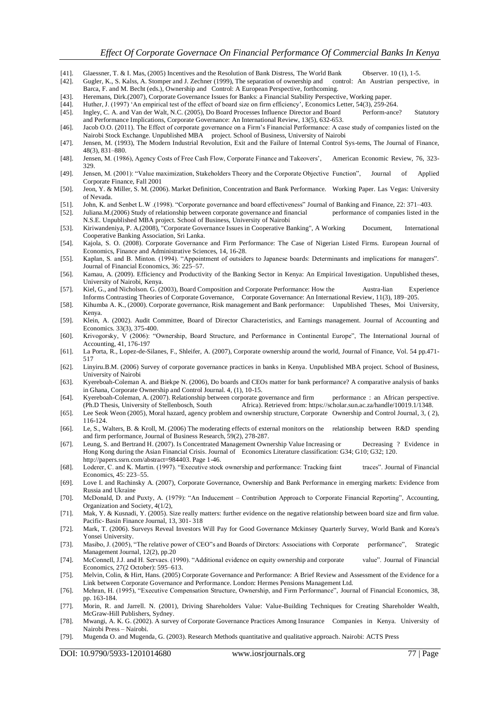- [41]. Glaessner, T. & I. Mas, (2005) Incentives and the Resolution of Bank Distress, The World Bank Observer. 10 (1), 1-5.
- [42]. Gugler, K., S. Kalss, A. Stomper and J. Zechner (1999), The separation of ownership and control: An Austrian perspective, in Barca, F. and M. Becht (eds.), Ownership and Control: A European Perspective, forthcoming.
- [43]. Heremans, Dirk.(2007), Corporate Governance Issues for Banks: a Financial Stability Perspective, Working paper.

[44]. Huther, J. (1997) 'An empirical test of the effect of board size on firm efficiency', Economics Letter, 54(3), 259-264.

[45]. Ingley, C. A. and Van der Walt, N.C. (2005), Do Board Processes Influence Director and Board Perform-ance? Statutory and Performance Implications, Corporate Governance: An International Review, 13(5), 632-653.

[46]. Jacob O.O. (2011). The Effect of corporate governance on a Firm's Financial Performance: A case study of companies listed on the Nairobi Stock Exchange. Unpublished MBA project. School of Business, University of Nairobi

- [47]. Jensen, M. (1993), The Modern Industrial Revolution, Exit and the Failure of Internal Control Sys-tems, The Journal of Finance, 48(3), 831–880.
- [48]. Jensen, M. (1986), Agency Costs of Free Cash Flow, Corporate Finance and Takeovers', American Economic Review, 76, 323- 329.
- [49]. Jensen, M. (2001): "Value maximization, Stakeholders Theory and the Corporate Objective Function", Journal of Applied Corporate Finance, Fall 2001
- [50]. Jeon, Y. & Miller, S. M. (2006). Market Definition, Concentration and Bank Performance. Working Paper. Las Vegas: University of Nevada.
- [51]. John, K. and Senbet L.W .(1998). "Corporate governance and board effectiveness" Journal of Banking and Finance, 22: 371–403. [52]. Juliana.M.(2006) Study of relationship between corporate governance and financial performance of companies listed in the
- N.S.E. Unpublished MBA project. School of Business, University of Nairobi
- [53]. Kiriwandeniya, P. A.(2008), "Corporate Governance Issues in Cooperative Banking", A Working Document, International Cooperative Banking Association, Sri Lanka.
- [54]. Kajola, S. O. (2008). Corporate Governance and Firm Performance: The Case of Nigerian Listed Firms. European Journal of Economics, Finance and Administrative Sciences, 14, 16-28.
- [55]. Kaplan, S. and B. Minton. (1994). "Appointment of outsiders to Japanese boards: Determinants and implications for managers". Journal of Financial Economics, 36: 225–57.
- [56]. Kamau, A. (2009). Efficiency and Productivity of the Banking Sector in Kenya: An Empirical Investigation. Unpublished theses, University of Nairobi, Kenya.
- [57]. Kiel, G., and Nicholson. G. (2003), Board Composition and Corporate Performance: How the Austra-lian Experience Informs Contrasting Theories of Corporate Governance, Corporate Governance: An International Review, 11(3), 189–205.
- [58]. Kihumba A. K., (2000). Corporate governance, Risk management and Bank performance: Unpublished Theses, Moi University, Kenya.
- [59]. Klein, A. (2002). Audit Committee, Board of Director Characteristics, and Earnings management. Journal of Accounting and Economics. 33(3), 375-400.
- [60]. Krivogorsky, V (2006): "Ownership, Board Structure, and Performance in Continental Europe", The International Journal of Accounting, 41, 176-197
- [61]. La Porta, R., Lopez-de-Silanes, F., Shleifer, A. (2007), Corporate ownership around the world, Journal of Finance, Vol. 54 pp.471- 517
- [62]. Linyiru.B.M. (2006) Survey of corporate governance practices in banks in Kenya. Unpublished MBA project. School of Business, University of Nairobi
- [63]. Kyereboah-Coleman A. and Biekpe N. (2006), Do boards and CEOs matter for bank performance? A comparative analysis of banks in Ghana, Corporate Ownership and Control Journal. 4, (1), 10-15.
- [64]. Kyereboah-Coleman, A. (2007). Relationship between corporate governance and firm performance : an African perspective. Africa). Retrieved from: https://scholar.sun.ac.za/handle/10019.1/1348.
- [65]. Lee Seok Weon (2005), Moral hazard, agency problem and ownership structure, Corporate Ownership and Control Journal, 3, ( 2), 116-124.
- [66]. Le, S., Walters, B. & Kroll, M. (2006) The moderating effects of external monitors on the relationship between R&D spending and firm performance, Journal of Business Research, 59(2), 278-287.
- [67]. Leung, S. and Bertrand H. (2007). Is Concentrated Management Ownership Value Increasing or Decreasing ? Evidence in Hong Kong during the Asian Financial Crisis. Journal of Economics Literature classification: G34; G10; G32; 120. http://papers.ssrn.com/abstract=984403. Page 1-46.
- [68]. Loderer, C. and K. Martin. (1997). "Executive stock ownership and performance: Tracking faint traces". Journal of Financial Economics, 45: 223–55.
- [69]. Love I. and Rachinsky A. (2007), Corporate Governance, Ownership and Bank Performance in emerging markets: Evidence from Russia and Ukraine
- [70]. McDonald, D. and Puxty, A. (1979): "An Inducement Contribution Approach to Corporate Financial Reporting", Accounting, Organization and Society, 4(1/2),
- [71]. Mak, Y. & Kusnadi, Y. (2005). Size really matters: further evidence on the negative relationship between board size and firm value. Pacific- Basin Finance Journal, 13, 301- 318
- [72]. Mark, T. (2006). Surveys Reveal Investors Will Pay for Good Governance Mckinsey Quarterly Survey, World Bank and Korea's Yonsei University.
- [73]. Masibo, J. (2005), "The relative power of CEO"s and Boards of Dirctors: Associations with Corporate performance", Strategic Management Journal, 12(2), pp.20
- [74]. McConnell, J.J. and H. Servaes. (1990). "Additional evidence on equity ownership and corporate value". Journal of Financial Economics, 27(2 October): 595–613.
- [75]. Melvin, Colin, & Hirt, Hans. (2005) Corporate Governance and Performance: A Brief Review and Assessment of the Evidence for a Link between Corporate Governance and Performance. London: Hermes Pensions Management Ltd.
- [76]. Mehran, H. (1995), "Executive Compensation Structure, Ownership, and Firm Performance", Journal of Financial Economics, 38, pp. 163-184.
- [77]. Morin, R. and Jarrell. N. (2001), Driving Shareholders Value: Value-Building Techniques for Creating Shareholder Wealth, McGraw-Hill Publishers, Sydney.
- [78]. Mwangi, A. K. G. (2002). A survey of Corporate Governance Practices Among Insurance Companies in Kenya. University of Nairobi Press – Nairobi.
- [79]. Mugenda O. and Mugenda, G. (2003). Research Methods quantitative and qualitative approach. Nairobi: ACTS Press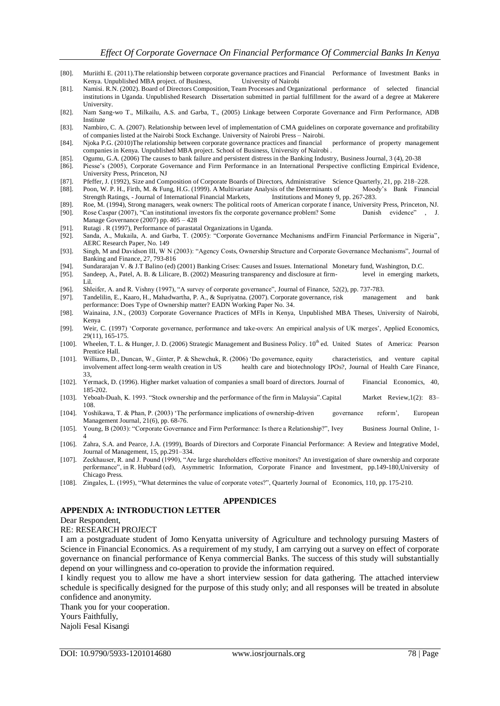- [80]. Muriithi E. (2011).The relationship between corporate governance practices and Financial Performance of Investment Banks in Kenya. Unpublished MBA project. of Business, University of Nairobi
- [81]. Namisi. R.N. (2002). Board of Directors Composition, Team Processes and Organizational performance of selected financial institutions in Uganda. Unpublished Research Dissertation submitted in partial fulfillment for the award of a degree at Makerere University.
- [82]. Nam Sang-wo T., Milkailu, A.S. and Garba, T., (2005) Linkage between Corporate Governance and Firm Performance, ADB Institute
- [83]. Nambiro, C. A. (2007). Relationship between level of implementation of CMA guidelines on corporate governance and profitability of companies listed at the Nairobi Stock Exchange. University of Nairobi Press – Nairobi.
- [84]. Njoka P.G. (2010)The relationship between corporate governance practices and financial performance of property management companies in Kenya. Unpublished MBA project. School of Business, University of Nairobi .
- [85]. Ogumu, G.A. (2006) The causes to bank failure and persistent distress in the Banking Industry, Business Journal, 3 (4), 20-38
- [86]. Piesse's (2005), Corporate Governance and Firm Performance in an International Perspective conflicting Empirical Evidence, University Press, Princeton, NJ
- [87]. Pfeffer, J. (1992), Size and Composition of Corporate Boards of Directors, Administrative Science Quarterly, 21, pp. 218–228.
- [88]. Poon, W. P. H., Firth, M. & Fung, H.G. (1999). A Multivariate Analysis of the Determinants of Moody's Bank Financial Strength Ratings, - Journal of International Financial Markets, Institutions and Money 9, pp. 267-283.
- [89]. Roe, M. (1994), Strong managers, weak owners: The political roots of American corporate f inance, University Press, Princeton, NJ. [90]. Rose Caspar (2007), "Can institutional investors fix the corporate governance p Rose Caspar (2007), "Can institutional investors fix the corporate governance problem? Some Manage Governance (2007) pp. 405 – 428
- 
- [91]. Rutagi . R (1997), Performance of parastatal Organizations in Uganda.<br>[92]. Sanda, A., Mukaila, A. and Garba, T. (2005): "Corporate Governanc Sanda, A., Mukaila, A. and Garba, T. (2005): "Corporate Governance Mechanisms andFirm Financial Performance in Nigeria", AERC Research Paper, No. 149
- [93]. Singh, M and Davidson III, W N (2003): "Agency Costs, Ownership Structure and Corporate Governance Mechanisms", Journal of Banking and Finance, 27, 793-816
- [94]. Sundararajan V. & J.T Balino (ed) (2001) Banking Crises: Causes and Issues. International Monetary fund, Washington, D.C.
- [95]. Sandeep, A., Patel, A. B. & Lilicare, B. (2002) Measuring transparency and disclosure at firm- level in emerging markets, Lil.
- [96]. Shleifer, A. and R. Vishny (1997), "A survey of corporate governance", Journal of Finance, 52(2), pp. 737-783.
- [97]. Tandelilin, E., Kaaro, H., Mahadwartha, P. A., & Supriyatna. (2007). Corporate governance, risk management and bank performance: Does Type of Ownership matter? EADN Working Paper No. 34.
- [98]. Wainaina, J.N., (2003) Corporate Governance Practices of MFIs in Kenya, Unpublished MBA Theses, University of Nairobi, Kenya
- [99]. Weir, C. (1997) 'Corporate governance, performance and take-overs: An empirical analysis of UK merges', Applied Economics, 29(11), 165-175.
- [100]. Wheelen, T. L. & Hunger, J. D. (2006) Strategic Management and Business Policy. 10th ed. United States of America: Pearson Prentice Hall.
- [101]. Williams, D., Duncan, W., Ginter, P. & Shewchuk, R. (2006) 'Do governance, equity characteristics, and venture capital involvement affect long-term wealth creation in US health care and biotechnology IPOs?, Journal of Health Care Finance, 33,
- [102]. Yermack, D. (1996). Higher market valuation of companies a small board of directors. Journal of Financial Economics, 40, 185-202.
- [103]. Yeboah-Duah, K. 1993. "Stock ownership and the performance of the firm in Malaysia".Capital Market Review,1(2): 83– 108.
- [104]. Yoshikawa, T. & Phan, P. (2003) 'The performance implications of ownership-driven governance reform', European Management Journal, 21(6), pp. 68-76.
- [105]. Young, B (2003): "Corporate Governance and Firm Performance: Is there a Relationship?", Ivey Business Journal Online, 1- 4
- [106]. Zahra, S.A. and Pearce, J.A. (1999), Boards of Directors and Corporate Financial Performance: A Review and Integrative Model, Journal of Management, 15, pp.291–334.
- [107]. Zeckhauser, R. and J. Pound (1990), "Are large shareholders effective monitors? An investigation of share ownership and corporate performance", in R. Hubbard (ed), Asymmetric Information, Corporate Finance and Investment, pp.149-180,University of Chicago Press.
- [108]. Zingales, L. (1995), "What determines the value of corporate votes?", Quarterly Journal of Economics, 110, pp. 175-210.

## **APPENDICES**

## **APPENDIX A: INTRODUCTION LETTER**

#### Dear Respondent,

#### RE: RESEARCH PROJECT

I am a postgraduate student of Jomo Kenyatta university of Agriculture and technology pursuing Masters of Science in Financial Economics. As a requirement of my study, I am carrying out a survey on effect of corporate governance on financial performance of Kenya commercial Banks. The success of this study will substantially depend on your willingness and co-operation to provide the information required.

I kindly request you to allow me have a short interview session for data gathering. The attached interview schedule is specifically designed for the purpose of this study only; and all responses will be treated in absolute confidence and anonymity.

Thank you for your cooperation. Yours Faithfully, Najoli Fesal Kisangi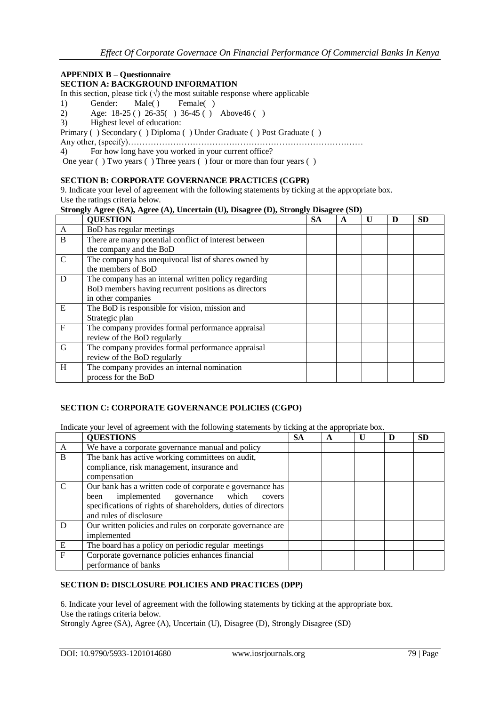## **APPENDIX B – Questionnaire**

## **SECTION A: BACKGROUND INFORMATION**

In this section, please tick  $(\sqrt{})$  the most suitable response where applicable

- 1) Gender: Male( ) Female( )
- 2) Age: 18-25 ( ) 26-35( ) 36-45 ( ) Above46 ( )
- 3) Highest level of education:

Primary ( ) Secondary ( ) Diploma ( ) Under Graduate ( ) Post Graduate ( )

Any other, (specify)…………………………………………………………………………

4) For how long have you worked in your current office?

One year ( ) Two years ( ) Three years ( ) four or more than four years ( )

#### **SECTION B: CORPORATE GOVERNANCE PRACTICES (CGPR)**

9. Indicate your level of agreement with the following statements by ticking at the appropriate box. Use the ratings criteria below.

#### **Strongly Agree (SA), Agree (A), Uncertain (U), Disagree (D), Strongly Disagree (SD)**

|               | <b>QUESTION</b>                                       | <b>SA</b> | A | $\mathbf{U}$ | D | <b>SD</b> |
|---------------|-------------------------------------------------------|-----------|---|--------------|---|-----------|
| $\mathbf{A}$  | BoD has regular meetings                              |           |   |              |   |           |
| B             | There are many potential conflict of interest between |           |   |              |   |           |
|               | the company and the BoD                               |           |   |              |   |           |
| $\mathcal{C}$ | The company has unequivocal list of shares owned by   |           |   |              |   |           |
|               | the members of BoD                                    |           |   |              |   |           |
| D             | The company has an internal written policy regarding  |           |   |              |   |           |
|               | BoD members having recurrent positions as directors   |           |   |              |   |           |
|               | in other companies                                    |           |   |              |   |           |
| E             | The BoD is responsible for vision, mission and        |           |   |              |   |           |
|               | Strategic plan                                        |           |   |              |   |           |
| $\mathbf{F}$  | The company provides formal performance appraisal     |           |   |              |   |           |
|               | review of the BoD regularly                           |           |   |              |   |           |
| G             | The company provides formal performance appraisal     |           |   |              |   |           |
|               | review of the BoD regularly                           |           |   |              |   |           |
| H             | The company provides an internal nomination           |           |   |              |   |           |
|               | process for the BoD                                   |           |   |              |   |           |

#### **SECTION C: CORPORATE GOVERNANCE POLICIES (CGPO)**

Indicate your level of agreement with the following statements by ticking at the appropriate box.

|                | <b>QUESTIONS</b>                                                                                                                                                                                        | <b>SA</b> | A | D | <b>SD</b> |
|----------------|---------------------------------------------------------------------------------------------------------------------------------------------------------------------------------------------------------|-----------|---|---|-----------|
| A              | We have a corporate governance manual and policy                                                                                                                                                        |           |   |   |           |
| B              | The bank has active working committees on audit,<br>compliance, risk management, insurance and<br>compensation                                                                                          |           |   |   |           |
| $\mathcal{C}$  | Our bank has a written code of corporate e governance has<br>implemented governance which<br>been<br>covers<br>specifications of rights of shareholders, duties of directors<br>and rules of disclosure |           |   |   |           |
| D              | Our written policies and rules on corporate governance are<br>implemented                                                                                                                               |           |   |   |           |
| E              | The board has a policy on periodic regular meetings                                                                                                                                                     |           |   |   |           |
| $\overline{F}$ | Corporate governance policies enhances financial<br>performance of banks                                                                                                                                |           |   |   |           |

## **SECTION D: DISCLOSURE POLICIES AND PRACTICES (DPP)**

6. Indicate your level of agreement with the following statements by ticking at the appropriate box. Use the ratings criteria below. Strongly Agree (SA), Agree (A), Uncertain (U), Disagree (D), Strongly Disagree (SD)